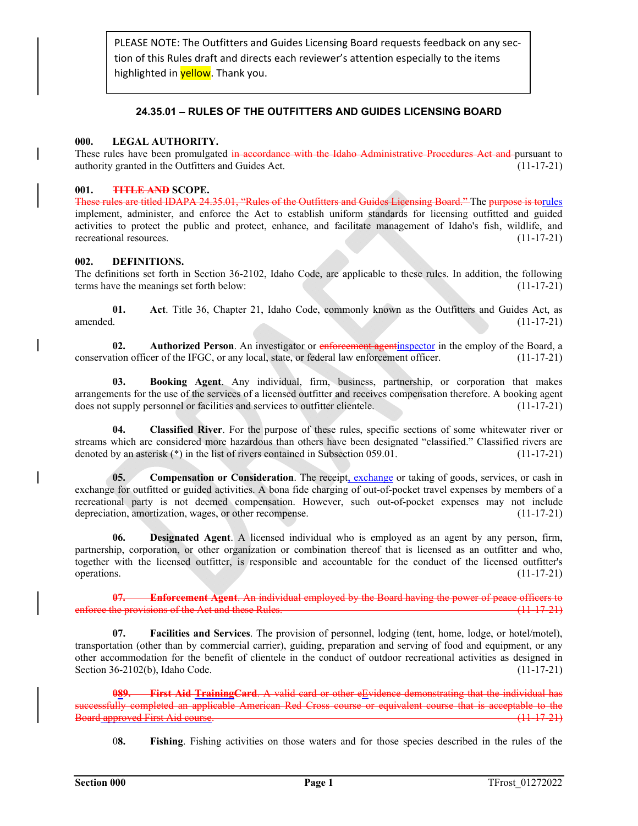PLEASE NOTE: The Outfitters and Guides Licensing Board requests feedback on any sec‐ tion of this Rules draft and directs each reviewer's attention especially to the items highlighted in **yellow**. Thank you.

# **24.35.01 – RULES OF THE OUTFITTERS AND GUIDES LICENSING BOARD**

# **000. LEGAL AUTHORITY.**

These rules have been promulgated in accordance with the Idaho Administrative Procedures Act and pursuant to authority granted in the Outfitters and Guides Act. (11-17-21)

# **001. TITLE AND SCOPE.**

These rules are titled IDAPA 24.35.01, "Rules of the Outfitters and Guides Licensing Board." The purpose is torules implement, administer, and enforce the Act to establish uniform standards for licensing outfitted and guided activities to protect the public and protect, enhance, and facilitate management of Idaho's fish, wildlife, and recreational resources. (11-17-21)

# **002. DEFINITIONS.**

The definitions set forth in Section 36-2102, Idaho Code, are applicable to these rules. In addition, the following terms have the meanings set forth below: (11-17-21)

**01. Act**. Title 36, Chapter 21, Idaho Code, commonly known as the Outfitters and Guides Act, as amended. (11-17-21)

**02.** Authorized Person. An investigator or enforcement agentinspector in the employ of the Board, a conservation officer of the IFGC, or any local, state, or federal law enforcement officer. (11-17-21)

**03. Booking Agent**. Any individual, firm, business, partnership, or corporation that makes arrangements for the use of the services of a licensed outfitter and receives compensation therefore. A booking agent does not supply personnel or facilities and services to outfitter clientele. (11-17-21)

**04. Classified River**. For the purpose of these rules, specific sections of some whitewater river or streams which are considered more hazardous than others have been designated "classified." Classified rivers are denoted by an asterisk (\*) in the list of rivers contained in Subsection 059.01. (11-17-21)

**05. Compensation or Consideration**. The receipt, exchange or taking of goods, services, or cash in exchange for outfitted or guided activities. A bona fide charging of out-of-pocket travel expenses by members of a recreational party is not deemed compensation. However, such out-of-pocket expenses may not include depreciation, amortization, wages, or other recompense. (11-17-21)

**06. Designated Agent**. A licensed individual who is employed as an agent by any person, firm, partnership, corporation, or other organization or combination thereof that is licensed as an outfitter and who, together with the licensed outfitter, is responsible and accountable for the conduct of the licensed outfitter's operations. (11-17-21)

**07. Enforcement Agent**. An individual employed by the Board having the power of peace officers to enforce the provisions of the Act and these Rules. (11-17-21)

**07. Facilities and Services**. The provision of personnel, lodging (tent, home, lodge, or hotel/motel), transportation (other than by commercial carrier), guiding, preparation and serving of food and equipment, or any other accommodation for the benefit of clientele in the conduct of outdoor recreational activities as designed in Section 36-2102(b), Idaho Code. (11-17-21)

**089. First Aid TrainingCard**. A valid card or other eEvidence demonstrating that the individual has able American Red Cross course or equivalent course that is acceptable to the Board approved First Aid course. (11-17-21)

0**8. Fishing**. Fishing activities on those waters and for those species described in the rules of the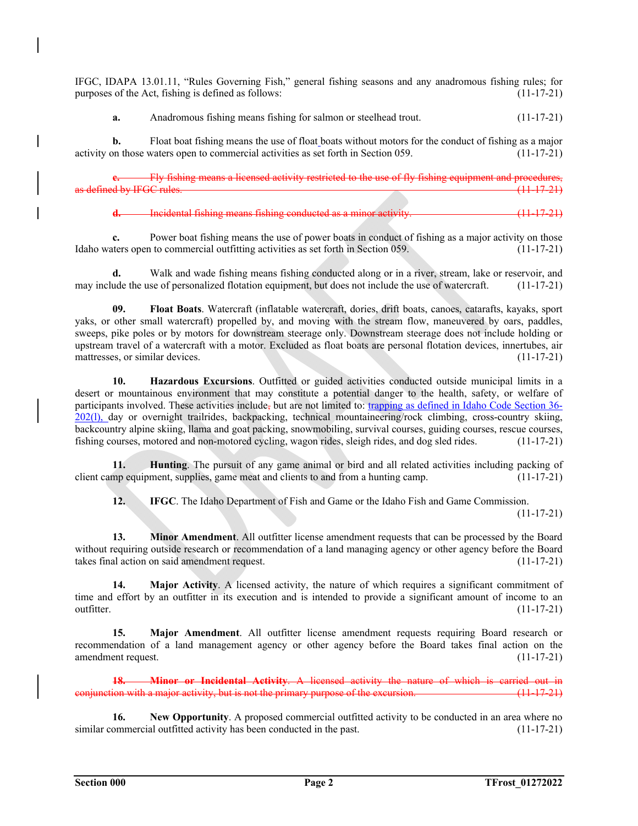IFGC, IDAPA 13.01.11, "Rules Governing Fish," general fishing seasons and any anadromous fishing rules; for purposes of the Act, fishing is defined as follows: (11-17-21)

**a.** Anadromous fishing means fishing for salmon or steelhead trout. (11-17-21)

**b.** Float boat fishing means the use of float boats without motors for the conduct of fishing as a major activity on those waters open to commercial activities as set forth in Section 059. (11-17-21)

**Fly fishing means a licensed activity restricted to the use of fly fishing equipment and procedures,<br>C. rules. (11.17.21)** and by IFGC rules.

**Incidental fishing means fishing conducted as a minor activity.** (11-17-21)

**c.** Power boat fishing means the use of power boats in conduct of fishing as a major activity on those Idaho waters open to commercial outfitting activities as set forth in Section 059. (11-17-21)

**d.** Walk and wade fishing means fishing conducted along or in a river, stream, lake or reservoir, and may include the use of personalized flotation equipment, but does not include the use of watercraft. (11-17-21)

**09. Float Boats**. Watercraft (inflatable watercraft, dories, drift boats, canoes, catarafts, kayaks, sport yaks, or other small watercraft) propelled by, and moving with the stream flow, maneuvered by oars, paddles, sweeps, pike poles or by motors for downstream steerage only. Downstream steerage does not include holding or upstream travel of a watercraft with a motor. Excluded as float boats are personal flotation devices, innertubes, air mattresses, or similar devices. (11-17-21)

**10. Hazardous Excursions**. Outfitted or guided activities conducted outside municipal limits in a desert or mountainous environment that may constitute a potential danger to the health, safety, or welfare of participants involved. These activities include, but are not limited to: trapping as defined in Idaho Code Section 36- 202(l), day or overnight trailrides, backpacking, technical mountaineering/rock climbing, cross-country skiing, backcountry alpine skiing, llama and goat packing, snowmobiling, survival courses, guiding courses, rescue courses, fishing courses, motored and non-motored cycling, wagon rides, sleigh rides, and dog sled rides. (11-17-21)

**11. Hunting**. The pursuit of any game animal or bird and all related activities including packing of client camp equipment, supplies, game meat and clients to and from a hunting camp. (11-17-21)

**12. IFGC**. The Idaho Department of Fish and Game or the Idaho Fish and Game Commission.

 $(11-17-21)$ 

**13. Minor Amendment**. All outfitter license amendment requests that can be processed by the Board without requiring outside research or recommendation of a land managing agency or other agency before the Board takes final action on said amendment request. (11-17-21)

**14. Major Activity**. A licensed activity, the nature of which requires a significant commitment of time and effort by an outfitter in its execution and is intended to provide a significant amount of income to an outfitter.  $(11-17-21)$ 

**15. Major Amendment**. All outfitter license amendment requests requiring Board research or recommendation of a land management agency or other agency before the Board takes final action on the amendment request. (11-17-21)

**18. Minor or Incidental Activity**. A licensed activity the nature of which is carried out in conjunction with a major activity, but is not the primary purpose of the excursion.  $(11-17-21)$ 

**16.** New Opportunity. A proposed commercial outfitted activity to be conducted in an area where no similar commercial outfitted activity has been conducted in the past. (11-17-21)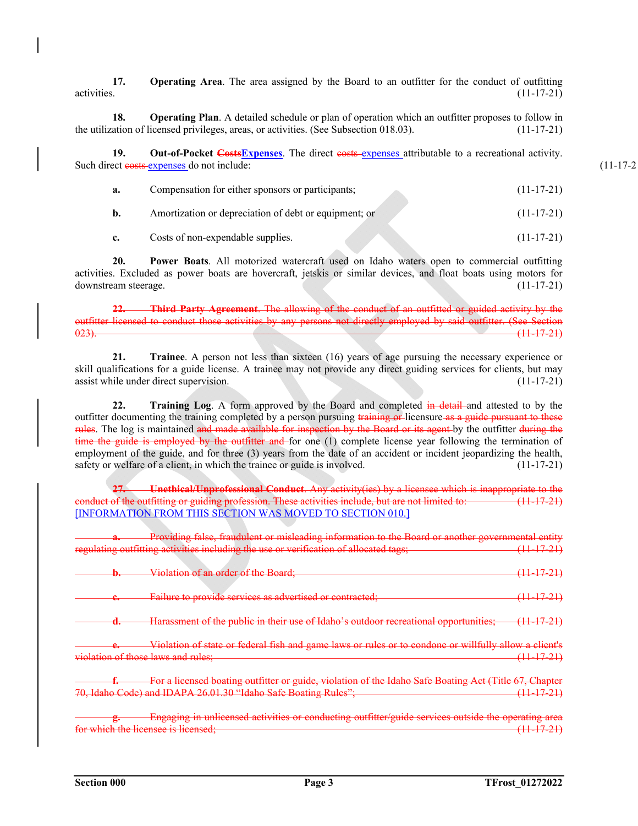**17. Operating Area**. The area assigned by the Board to an outfitter for the conduct of outfitting activities. (11-17-21)

**18. Operating Plan**. A detailed schedule or plan of operation which an outfitter proposes to follow in the utilization of licensed privileges, areas, or activities. (See Subsection 018.03). (11-17-21)

**19.** Out-of-Pocket Costs Expenses. The direct costs-expenses attributable to a recreational activity. Such direct eests-expenses do not include: (11-17-2)

| а. | Compensation for either sponsors or participants;     | $(11-17-21)$ |
|----|-------------------------------------------------------|--------------|
|    | Amortization or depreciation of debt or equipment; or | $(11-17-21)$ |
|    | Costs of non-expendable supplies.                     | $(11-17-21)$ |

**20. Power Boats**. All motorized watercraft used on Idaho waters open to commercial outfitting activities. Excluded as power boats are hovercraft, jetskis or similar devices, and float boats using motors for downstream steerage. (11-17-21)

**22. Third Party Agreement**. The allowing of the conduct of an outfitted or guided activity by the outfitter licensed to conduct those activities by any persons not directly employed by said outfitter. (See Section 023). (11-17-21)

**21. Trainee**. A person not less than sixteen (16) years of age pursuing the necessary experience or skill qualifications for a guide license. A trainee may not provide any direct guiding services for clients, but may assist while under direct supervision. (11-17-21)

**22. Training Log**. A form approved by the Board and completed in detail and attested to by the outfitter documenting the training completed by a person pursuing training or-licensure as a guide pursuant to these rules. The log is maintained and made available for inspection by the Board or its agent by the outfitter during the time the guide is employed by the outfitter and for one (1) complete license year following the termination of employment of the guide, and for three (3) years from the date of an accident or incident jeopardizing the health, safety or welfare of a client, in which the trainee or guide is involved. (11-17-21)

**27. Unethical/Unprofessional Conduct**. Any activity(ies) by a licensee which is inappropriate to the conduct of the outfitting or guiding profession. These activities include, but are not limited to: (11-17-21) [INFORMATION FROM THIS SECTION WAS MOVED TO SECTION 010.]

**a.** Providing false, fraudulent or misleading information to the Board or another governmental entity regulating outfitting activities including the use or verification of allocated tags; (11-17-21)

|                                    | Violation of an order of the Board;                                                                   |                |
|------------------------------------|-------------------------------------------------------------------------------------------------------|----------------|
| IJ.                                |                                                                                                       |                |
|                                    | Failure to provide services as advertised or contracted;                                              | $(11\;17\;21)$ |
|                                    |                                                                                                       |                |
|                                    | Harassment of the public in their use of Idaho's outdoor recreational opportunities; (11 17 21)       |                |
| $\overline{\phantom{a}}$           |                                                                                                       |                |
|                                    | Violation of state or federal fish and game laws or rules or to condone or willfully allow a client's |                |
|                                    |                                                                                                       |                |
| violation of those laws and rules; |                                                                                                       |                |
|                                    |                                                                                                       |                |

**ficensed boating outfitter or guide, violation of the Idaho Safe Boating Act (Title 67** 70, Idaho Code) and IDAPA 26.01.30 "Idaho Safe Boating Rules"; (11-17-21)

**g.** Engaging in unlicensed activities or conducting outfitter/guide services outside the operating area which the licensee is licensed;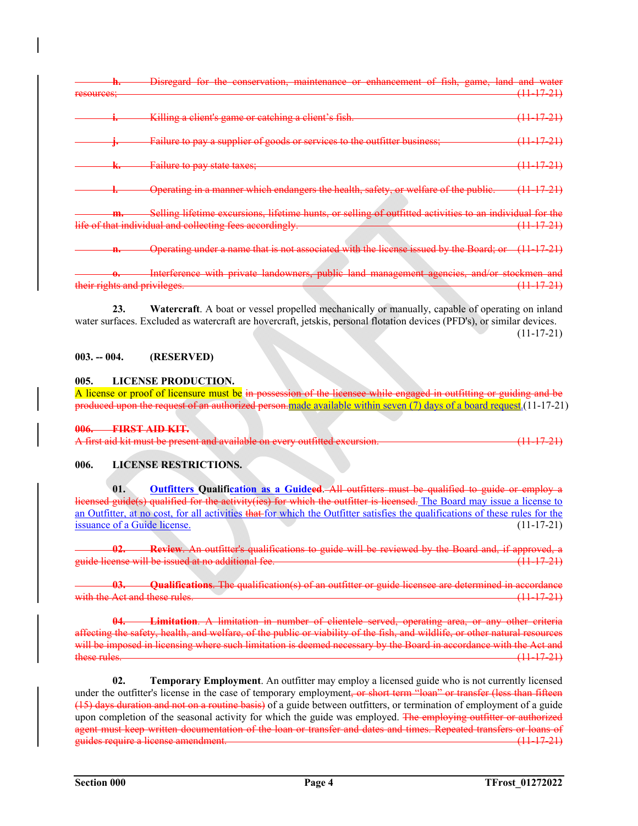|            | шо   | Disregard for the conservation, maintenance or enhancement of fish, game, land and water                                                                             |                       |
|------------|------|----------------------------------------------------------------------------------------------------------------------------------------------------------------------|-----------------------|
| resources; |      |                                                                                                                                                                      | <del>(11-17-21)</del> |
|            |      | Killing a client's game or catching a client's fish.                                                                                                                 | <del>(11–17–21)</del> |
|            | Ţ.   | Failure to pay a supplier of goods or services to the outfitter business;                                                                                            | (11–17–21)            |
|            | м    | Failure to pay state taxes;                                                                                                                                          | <del>(11-17-21)</del> |
|            |      | Operating in a manner which endangers the health, safety, or welfare of the public.                                                                                  | <del>(11–17–21)</del> |
|            | ,,,, | Selling lifetime excursions, lifetime hunts, or selling of outfitted activities to an individual for the<br>life of that individual and collecting fees accordingly. | <del>(11–17–21)</del> |
|            |      |                                                                                                                                                                      |                       |
|            | н.   | Operating under a name that is not associated with the license issued by the Board; or (11 1721)                                                                     |                       |
|            | œ    | Interference with private landowners, public land management agencies, and/or stockmen and<br>their rights and privileges.                                           | <del>11 17 21)</del>  |
|            |      |                                                                                                                                                                      |                       |

 **23. Watercraft**. A boat or vessel propelled mechanically or manually, capable of operating on inland water surfaces. Excluded as watercraft are hovercraft, jetskis, personal flotation devices (PFD's), or similar devices.  $(11-17-21)$ 

# **003. -- 004. (RESERVED)**

# **005. LICENSE PRODUCTION.**

A license or proof of licensure must be in possession of the licensee while engaged in outfitting or guiding and be produced upon the request of an authorized person.made available within seven (7) days of a board request.(11-17-21)

**006. FIRST AID KIT.** 

A first aid kit must be present and available on every outfitted excursion. (11-17-21)

# **006. LICENSE RESTRICTIONS.**

**01. Outfitters Qualification as a Guideed**. All outfitters must be qualified to guide or employ a licensed guide(s) qualified for the activity(ies) for which the outfitter is licensed. The Board may issue a license to an Outfitter, at no cost, for all activities that for which the Outfitter satisfies the qualifications of these rules for the issuance of a Guide license. (11-17-21)

**02. Review**. An outfitter's qualifications to guide will be reviewed by the Board and, if approved, a guide license will be issued at no additional fee. (11-17-21)

**03. Qualifications**. The qualification(s) of an outfitter or guide licensee are determined in accordance with the Act and these rules.

**04. Limitation**. A limitation in number of clientele served, operating area, or any other criteria affecting the safety, health, and welfare, of the public or viability of the fish, and wildlife, or other natural resources will be imposed in licensing where such limitation is deemed necessary by the Board in accordance with the Act and<br>
these rules. (11 17 21)  $(11-17-21)$ 

**02. Temporary Employment**. An outfitter may employ a licensed guide who is not currently licensed under the outfitter's license in the case of temporary employment, or short term "loan" or transfer (less than fifteen (15) days duration and not on a routine basis) of a guide between outfitters, or termination of employment of a guide upon completion of the seasonal activity for which the guide was employed. The employing outfitter or authorized agent must keep written documentation of the loan or transfer and dates and times. Repeated transfers or loans of guides require a license amendment. 
(11-17-21)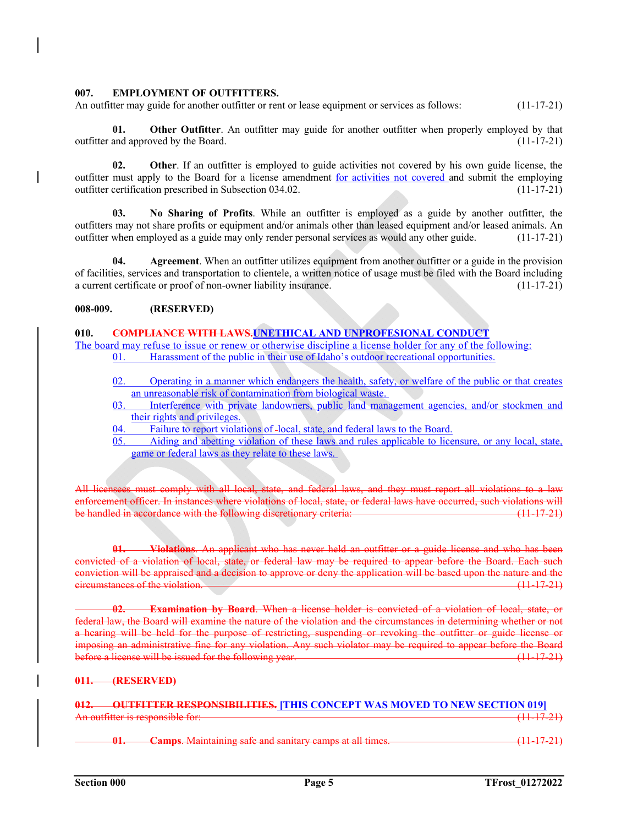### **007. EMPLOYMENT OF OUTFITTERS.**

An outfitter may guide for another outfitter or rent or lease equipment or services as follows: (11-17-21)

**Other Outfitter.** An outfitter may guide for another outfitter when properly employed by that outfitter and approved by the Board. (11-17-21)

**02.** Other. If an outfitter is employed to guide activities not covered by his own guide license, the outfitter must apply to the Board for a license amendment for activities not covered and submit the employing outfitter certification prescribed in Subsection 034.02. (11-17-21)

**03. No Sharing of Profits**. While an outfitter is employed as a guide by another outfitter, the outfitters may not share profits or equipment and/or animals other than leased equipment and/or leased animals. An outfitter when employed as a guide may only render personal services as would any other guide. (11-17-21)

**04. Agreement**. When an outfitter utilizes equipment from another outfitter or a guide in the provision of facilities, services and transportation to clientele, a written notice of usage must be filed with the Board including a current certificate or proof of non-owner liability insurance. (11-17-21)

# **008-009. (RESERVED)**

### **010. COMPLIANCE WITH LAWS.UNETHICAL AND UNPROFESIONAL CONDUCT**

The board may refuse to issue or renew or otherwise discipline a license holder for any of the following: 01. Harassment of the public in their use of Idaho's outdoor recreational opportunities.

- 02. Operating in a manner which endangers the health, safety, or welfare of the public or that creates an unreasonable risk of contamination from biological waste.
- 03. Interference with private landowners, public land management agencies, and/or stockmen and their rights and privileges.<br>04. Failure to report violat
- Failure to report violations of -local, state, and federal laws to the Board.
- 05. Aiding and abetting violation of these laws and rules applicable to licensure, or any local, state, game or federal laws as they relate to these laws.

All licensees must comply with all local, state, and federal laws, and they must report all violations to a law enforcement officer. In instances where violations of local, state, or federal laws have occurred, such violations will be handled in accordance with the following discretionary criteria: (11-17-21)

**01. Violations**. An applicant who has never held an outfitter or a guide license and who has been convicted of a violation of local, state, or federal law may be required to appear before the Board. Each such conviction will be appraised and a decision to approve or deny the application will be based upon the nature and the eircumstances of the violation. **Example 2018** 2019 11:00:00 Contract 2019 2019 12:00:00 Contract 2019 2019

**Examination by Board.** When a license holder is convicted of a violation of local, state, or federal law, the Board will examine the nature of the violation and the circumstances in determining whether or not a hearing will be held for the purpose of restricting, suspending or revoking the outfitter or guide license or imposing an administrative fine for any violation. Any such violator may be required to appear before the Board before a license will be issued for the following year.

#### **011. (RESERVED)**

# **OUTFITTER RESPONSIBILITIES. [THIS CONCEPT WAS MOVED TO NEW SECTION 019]** An outfitter is responsible for: (11-17-21)

**Camps**. Maintaining safe and sanitary camps at all times.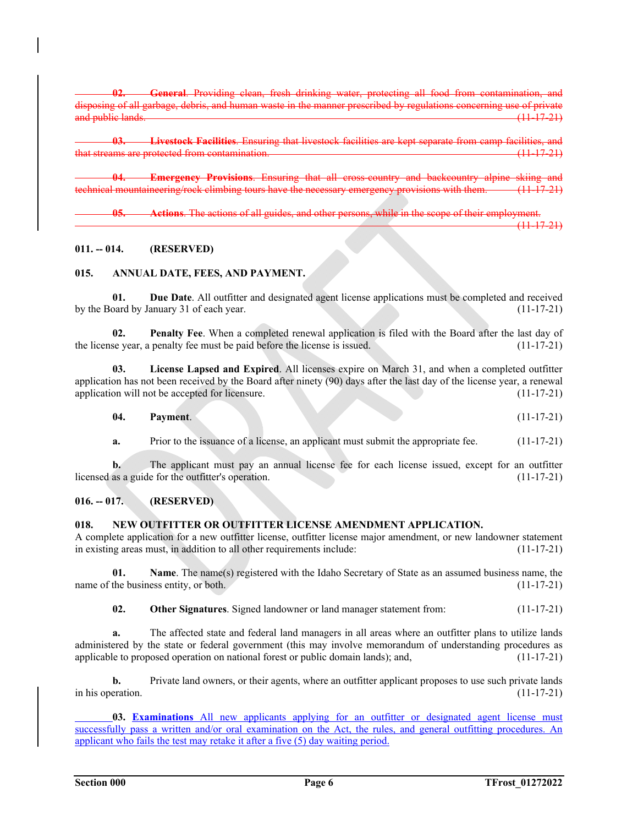**02. General**. Providing clean, fresh drinking water, protecting all food from contamination, and in the manner prescribed by regulations concerning use of private and public lands. (11-17-21)

**03. Livestock Facilities**. Ensuring that livestock facilities are kept separate from camp facilities, and that streams are protected from contamination. The set of the stream of the streams are protected from contamination.

**Emergency Provisions.** Ensuring that all cross-country and backcountry alpine skiing and<br>ineering/rock-climbing tours have the necessary emergency provisions with them (11-17-21) nical mountaineering/rock climbing tours have the necessary emerge

 **05. Actions**. The actions of all guides, and other persons, while in the scope of their employment. (11-17-21)

# **011. -- 014. (RESERVED)**

# **015. ANNUAL DATE, FEES, AND PAYMENT.**

**01. Due Date**. All outfitter and designated agent license applications must be completed and received by the Board by January 31 of each year. (11-17-21)

**02. Penalty Fee**. When a completed renewal application is filed with the Board after the last day of the license year, a penalty fee must be paid before the license is issued. (11-17-21)

**03. License Lapsed and Expired**. All licenses expire on March 31, and when a completed outfitter application has not been received by the Board after ninety (90) days after the last day of the license year, a renewal application will not be accepted for licensure. (11-17-21)

| 04. | Payment. |  |  |  | $(11-17-21)$ |  |
|-----|----------|--|--|--|--------------|--|
|-----|----------|--|--|--|--------------|--|

**a.** Prior to the issuance of a license, an applicant must submit the appropriate fee.  $(11-17-21)$ 

**b.** The applicant must pay an annual license fee for each license issued, except for an outfitter licensed as a guide for the outfitter's operation. (11-17-21)

# **016. -- 017. (RESERVED)**

# **018. NEW OUTFITTER OR OUTFITTER LICENSE AMENDMENT APPLICATION.**

A complete application for a new outfitter license, outfitter license major amendment, or new landowner statement in existing areas must, in addition to all other requirements include: (11-17-21)

**01.** Name. The name(s) registered with the Idaho Secretary of State as an assumed business name, the name of the business entity, or both. (11-17-21)

**02. Other Signatures**. Signed landowner or land manager statement from: (11-17-21)

**a.** The affected state and federal land managers in all areas where an outfitter plans to utilize lands administered by the state or federal government (this may involve memorandum of understanding procedures as applicable to proposed operation on national forest or public domain lands); and, (11-17-21)

**b.** Private land owners, or their agents, where an outfitter applicant proposes to use such private lands in his operation.  $(11-17-21)$ 

**03. Examinations** All new applicants applying for an outfitter or designated agent license must successfully pass a written and/or oral examination on the Act, the rules, and general outfitting procedures. An applicant who fails the test may retake it after a five (5) day waiting period.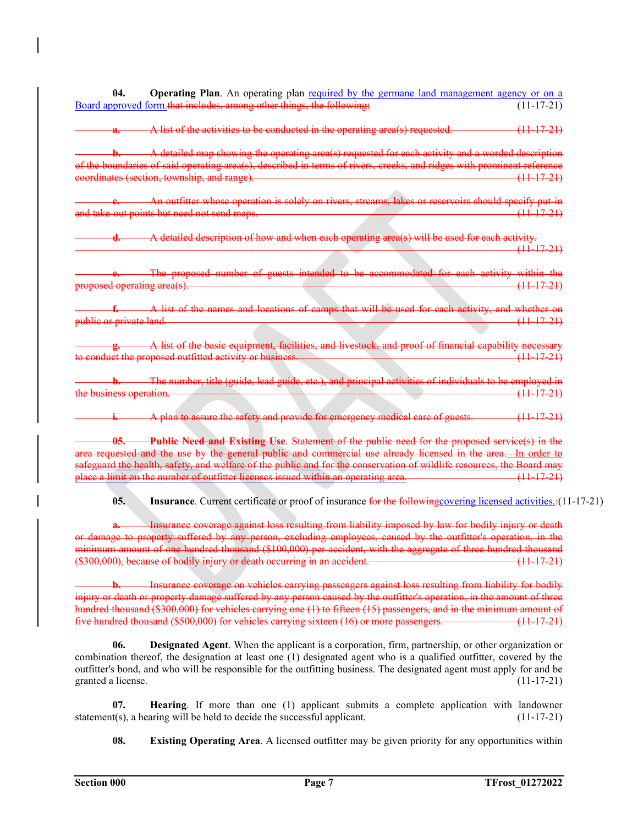**04. Operating Plan**. An operating plan required by the germane land management agency or on a Board approved form that includes, among other things, the following: (11-17-21)

A list of the activities to be conducted in the operating area(s) requested. (11-17-21)

**b.** A detailed map showing the operating area(s) requested for each activity and a worded description of the boundaries of said operating area(s), described in terms of rivers, creeks, and ridges with prominent reference coordinates (section, township, and range). (11-17-21)

An outfitter whose operation is solely on rivers, streams, lakes or reservoirs should specify put-in and take-out points but need not send maps. (11-17-21)

**d.** A detailed description of how and when each operating area(s) will be used for each activity. (11-17-21)

**e.** The proposed number of guests intended to be accommodated for each activity within the proposed operating area(s). (11-17-21)

**f.** A list of the names and locations of camps that will be used for each activity, and whether on public or private land. (11-17-21)

A list of the basic equipment, facilities, and livestock, and proof of financial capability necessary to conduct the proposed outfitted activity or business. (11 The conduct of the conduct the proposed outfitted activity or business.

The number, title (guide, lead guide, etc.), and principal activities of individuals to be employed in<br>eration (11-17-21) the business operation.

**i.** A plan to assure the safety and provide for emergency medical care of guests. (11-17-21)

 **05. Public Need and Existing Use**. Statement of the public need for the proposed service(s) in the area requested and the use by the general public and commercial use already licensed in the area. In order to safeguard the health, safety, and welfare of the public and for the conservation of wildlife resources, the Board may place a limit on the number of outfitter licenses issued within an operating area. (11-17-21)

**05. Insurance**. Current certificate or proof of insurance for the following covering licensed activities.:(11-17-21)

Insurance coverage against loss resulting from liability imposed by law for bodily injury or death or damage to property suffered by any person, excluding employees, caused by the outfitter's operation, in the minimum amount of one hundred thousand (\$100,000) per accident, with the aggregate of three hundred thousand (\$300,000), because of bodily injury or death occurring in an accident. (11-17-21)

Insurance coverage on vehicles carrying passengers against loss resulting from liability for bodily injury or death or property damage suffered by any person caused by the outfitter's operation, in the amount of three hundred thousand (\$300,000) for vehicles carrying one (1) to fifteen (15) passengers, and in the minimum amount of five hundred thousand (\$500,000) for vehicles carrying sixteen (16) or more passengers. (11-17-21)

 **06. Designated Agent**. When the applicant is a corporation, firm, partnership, or other organization or combination thereof, the designation at least one (1) designated agent who is a qualified outfitter, covered by the outfitter's bond, and who will be responsible for the outfitting business. The designated agent must apply for and be granted a license. (11-17-21)

 **07. Hearing**. If more than one (1) applicant submits a complete application with landowner statement(s), a hearing will be held to decide the successful applicant. (11-17-21)

**08.** Existing Operating Area. A licensed outfitter may be given priority for any opportunities within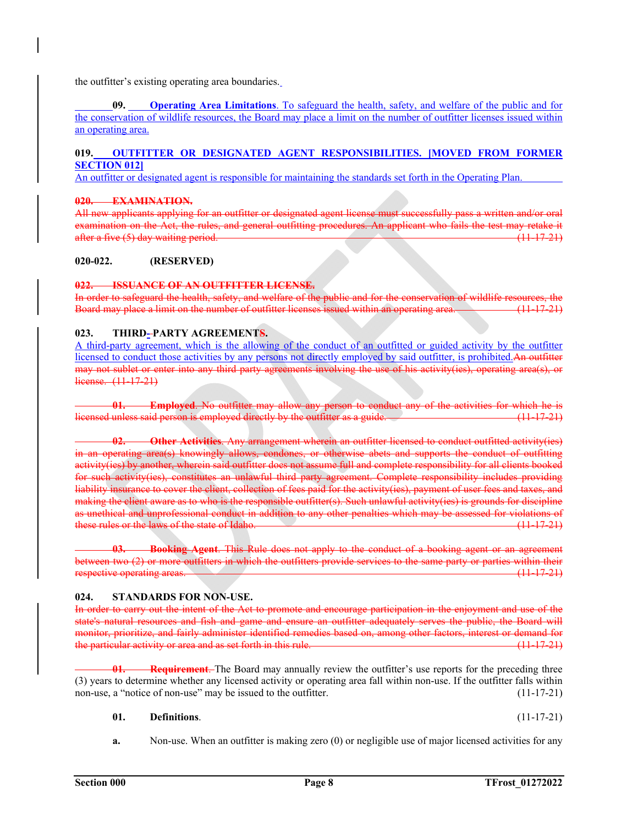the outfitter's existing operating area boundaries.

**09. Operating Area Limitations**. To safeguard the health, safety, and welfare of the public and for the conservation of wildlife resources, the Board may place a limit on the number of outfitter licenses issued within an operating area.

# **019. OUTFITTER OR DESIGNATED AGENT RESPONSIBILITIES. [MOVED FROM FORMER SECTION 012]**

An outfitter or designated agent is responsible for maintaining the standards set forth in the Operating Plan.

### **020. EXAMINATION.**

All new applicants applying for an outfitter or designated agent license must successfully pass a written and/or oral examination on the Act, the rules, and general outfitting procedures. An applicant who fails the test may retake it after a five (5) day waiting period. (11-17-21)

### **020-022. (RESERVED)**

### **022. ISSUANCE OF AN OUTFITTER LICENSE.**

In order to safeguard the health, safety, and welfare of the public and for the conservation of wildlife resources, the Board may place a limit on the number of outfitter licenses issued within an operating area. (11-17-21)

### 023. THIRD-PARTY AGREEMENTS.

A third-party agreement, which is the allowing of the conduct of an outfitted or guided activity by the outfitter licensed to conduct those activities by any persons not directly employed by said outfitter, is prohibited.An outfitter may not sublet or enter into any third party agreements involving the use of his activity(ies), operating area(s), or license. (11-17-21)

**01. Employed**. No outfitter may allow any person to conduct any of the activities for which he is licensed unless said person is employed directly by the outfitter as a guide. (11-17-21)

**02. Other Activities**. Any arrangement wherein an outfitter licensed to conduct outfitted activity(ies) in an operating area(s) knowingly allows, condones, or otherwise abets and supports the conduct of outfitting activity(ies) by another, wherein said outfitter does not assume full and complete responsibility for all clients booked for such activity(ies), constitutes an unlawful third party agreement. Complete responsibility includes providing liability insurance to cover the client, collection of fees paid for the activity(ies), payment of user fees and taxes, and making the client aware as to who is the responsible outfitter(s). Such unlawful activity(ies) is grounds for discipline as unethical and unprofessional conduct in addition to any other penalties which may be assessed for violations of these rules or the laws of the state of Idaho.  $(11-17-21)$ 

**03. Booking Agent**. This Rule does not apply to the conduct of a booking agent or an agreement between two (2) or more outfitters in which the outfitters provide services to the same party or parties within their respective operating areas. (11-17-21)

#### **024. STANDARDS FOR NON-USE.**

In order to carry out the intent of the Act to promote and encourage participation in the enjoyment and use of the state's natural resources and fish and game and ensure an outfitter adequately serves the public, the Board will monitor, prioritize, and fairly administer identified remedies based on, among other factors, interest or demand for the particular activity or area and as set forth in this rule. (11  $\frac{17-21}{21}$ )

**Requirement.** The Board may annually review the outfitter's use reports for the preceding three (3) years to determine whether any licensed activity or operating area fall within non-use. If the outfitter falls within non-use, a "notice of non-use" may be issued to the outfitter. (11-17-21)

#### **01. Definitions**. (11-17-21)

**a.** Non-use. When an outfitter is making zero (0) or negligible use of major licensed activities for any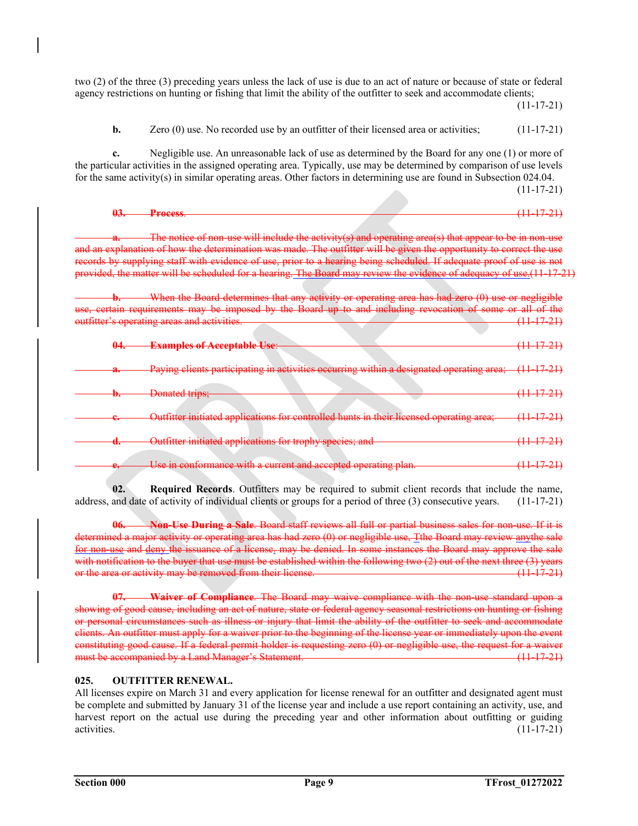two (2) of the three (3) preceding years unless the lack of use is due to an act of nature or because of state or federal agency restrictions on hunting or fishing that limit the ability of the outfitter to seek and accommodate clients;

 $(11-17-21)$ 

**b.** Zero (0) use. No recorded use by an outfitter of their licensed area or activities; (11-17-21)

**c.** Negligible use. An unreasonable lack of use as determined by the Board for any one (1) or more of the particular activities in the assigned operating area. Typically, use may be determined by comparison of use levels for the same activity(s) in similar operating areas. Other factors in determining use are found in Subsection 024.04.  $(11-17-21)$ 

| ́ | Prooce             | <b>All Service</b><br>______ |     |
|---|--------------------|------------------------------|-----|
|   | <b>ERIAN TARAC</b> | a a ma                       | - - |

include the activity(s) and operating area and an explanation of how the determination was made. The outfitter will be given the opportunity to correct the use records by supplying staff with evidence of use, prior to a hearing being scheduled. If adequate proof of use is not provided, the matter will be scheduled for a hearing. The Board may review the evidence of adequacy of use.(11-17-21)

**b.** When the Board determines that any activity or operating area has had zero (0) use or negligible eertain requirements may be imposed by the Board up to and including revocation of some or all of the outfitter's operating areas and activities. (11-17-21)

| <del>04.</del>           | <b>Examples of Acceptable Use:</b>                                                       | $(11 \; 17 \; 21)$    |
|--------------------------|------------------------------------------------------------------------------------------|-----------------------|
| u.                       | Paying clients participating in activities occurring within a designated operating area; |                       |
| v.                       | <b>Donated trips;</b>                                                                    | <del>(11–17–21)</del> |
| <del>c.</del>            | Outfitter initiated applications for controlled hunts in their licensed operating area;  |                       |
| u.                       | Outfitter initiated applications for trophy species; and                                 | <del>11 17 21</del>   |
| $\overline{\phantom{a}}$ | a current and accepted operating plan<br>193459887                                       |                       |

**02. Required Records**. Outfitters may be required to submit client records that include the name, address, and date of activity of individual clients or groups for a period of three (3) consecutive years. (11-17-21)

**06. Non-Use During a Sale**. Board staff reviews all full or partial business sales for non-use. If it is determined a major activity or operating area has had zero (0) or negligible use, Tthe Board may review anythe sale for non-use and deny the issuance of a license. may be denied. In some instances the Board may approve the sale with notification to the buyer that use must be established within the following two (2) out of the next three (3) years or the area or activity may be removed from their license. (11  $\frac{17-21}{21}$ )

**07. Waiver of Compliance**. The Board may waive compliance with the non-use standard upon a showing of good cause, including an act of nature, state or federal agency seasonal restrictions on hunting or fishing or personal circumstances such as illness or injury that limit the ability of the outfitter to seek and accommodate clients. An outfitter must apply for a waiver prior to the beginning of the license year or immediately upon the event constituting good cause. If a federal permit holder is requesting zero (0) or negligible use, the request for a waiver must be accompanied by a Land Manager's Statement. (11-17-21)

# **025. OUTFITTER RENEWAL.**

All licenses expire on March 31 and every application for license renewal for an outfitter and designated agent must be complete and submitted by January 31 of the license year and include a use report containing an activity, use, and harvest report on the actual use during the preceding year and other information about outfitting or guiding activities. (11-17-21)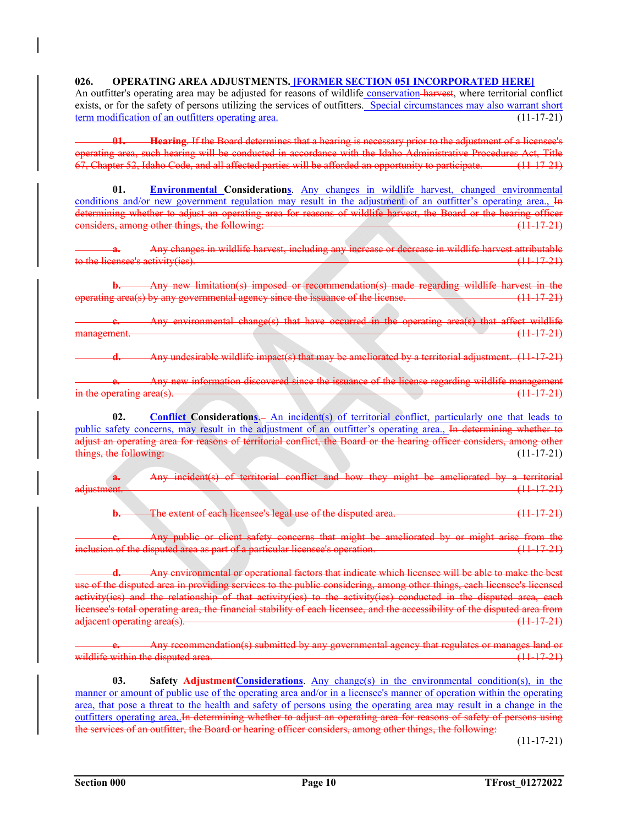# **026. OPERATING AREA ADJUSTMENTS. [FORMER SECTION 051 INCORPORATED HERE]**

An outfitter's operating area may be adjusted for reasons of wildlife conservation harvest, where territorial conflict exists, or for the safety of persons utilizing the services of outfitters. Special circumstances may also warrant short term modification of an outfitters operating area. (11-17-21)

**01. Hearing**. If the Board determines that a hearing is necessary prior to the adjustment of a licensee's operating area, such hearing will be conducted in accordance with the Idaho Administrative Procedures Act, Title 67, Chapter 52, Idaho Code, and all affected parties will be afforded an opportunity to participate. (11-17-21)

01. Environmental Considerations. Any changes in wildlife harvest, changed environmental conditions and/or new government regulation may result in the adjustment of an outfitter's operating area., In determining whether to adjust an operating area for reasons of wildlife harvest, the Board or the hearing officer<br>
considers among other things, the following: considers, among other things, the following:

**a.** Any changes in wildlife harvest, including any increase or decrease in wildlife harvest attributable to the licensee's activity(ies). (11-17-21)

**b.** Any new limitation(s) imposed or recommendation(s) made regarding wildlife harvest in the operating area(s) by any governmental agency since the issuance of the license. (11-17-21)

Any environmental change(s) that have occurred in the operating area(s) that affect wildlife<br>(11 17 21) management.

**d.** Any undesirable wildlife impact(s) that may be ameliorated by a territorial adjustment. (11-17-21)

**e.** Any new information discovered since the issuance of the license regarding wildlife management in the operating area(s).  $(11-17-21)$ 

**02.** Conflict Considerations. An incident(s) of territorial conflict, particularly one that leads to public safety concerns, may result in the adjustment of an outfitter's operating area., In determining whether to adjust an operating area for reasons of territorial conflict, the Board or the hearing officer considers, among other things, the following: (11-17-21)

**a.** Any incident(s) of territorial conflict and how they might be ameliorated by a territorial adjustment. (11-17-21)

**b.** The extent of each licensee's legal use of the disputed area. (11-17-21)

**c.** Any public or client safety concerns that might be ameliorated by or might arise from the inclusion of the disputed area as part of a particular licensee's operation. (11-17-21)

**d.** Any environmental or operational factors that indicate which licensee will be able to make the best use of the disputed area in providing services to the public considering, among other things, each licensee's licensed activity(ies) and the relationship of that activity(ies) to the activity(ies) conducted in the disputed area, each licensee's total operating area, the financial stability of each licensee, and the accessibility of the disputed area from adjacent operating area(s). (11-17-21)

**e.** Any recommendation(s) submitted by any governmental agency that regulates or manages land or wildlife within the disputed area. (11) 11-17-21-21-21-21-21-21-21-21-21-21-21-21

**03. Safety AdjustmentConsiderations**. Any change(s) in the environmental condition(s), in the manner or amount of public use of the operating area and/or in a licensee's manner of operation within the operating area, that pose a threat to the health and safety of persons using the operating area may result in a change in the outfitters operating area,.In determining whether to adjust an operating area for reasons of safety of persons using the services of an outfitter, the Board or hearing officer considers, among other things, the following:

 $(11-17-21)$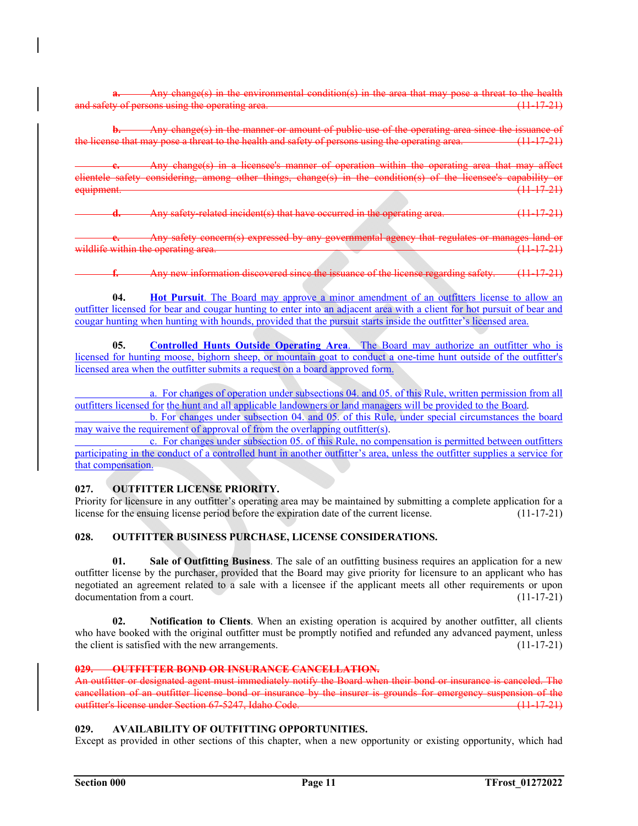change(s) in the environmental condition(s) in the area that may pose a threat to the health the operating area.

**b.** Any change(s) in the manner or amount of public use of the operating area since the issuance of the license that may pose a threat to the health and safety of persons using the operating area. (11-17-21)

**c.** Any change(s) in a licensee's manner of operation within the operating area that may affect clientele safety considering, among other things, change(s) in the condition(s) of the licensee's capability or equipment. (11-17-21)

**b.** anglety-related incident(s) that have occurred in the operating area. (11-17-21)

any governmental agency that regulates or manages land or wildlife within the operating area.  $(11-17-21)$ 

**f.** Any new information discovered since the issuance of the license regarding safety. (11-17-21)

**04.** Hot Pursuit. The Board may approve a minor amendment of an outfitters license to allow an outfitter licensed for bear and cougar hunting to enter into an adjacent area with a client for hot pursuit of bear and cougar hunting when hunting with hounds, provided that the pursuit starts inside the outfitter's licensed area.

**05.** Controlled Hunts Outside Operating Area. The Board may authorize an outfitter who is licensed for hunting moose, bighorn sheep, or mountain goat to conduct a one-time hunt outside of the outfitter's licensed area when the outfitter submits a request on a board approved form.

 a. For changes of operation under subsections 04. and 05. of this Rule, written permission from all outfitters licensed for the hunt and all applicable landowners or land managers will be provided to the Board.

 b. For changes under subsection 04. and 05. of this Rule, under special circumstances the board may waive the requirement of approval of from the overlapping outfitter(s).

 c. For changes under subsection 05. of this Rule, no compensation is permitted between outfitters participating in the conduct of a controlled hunt in another outfitter's area, unless the outfitter supplies a service for that compensation.

# **027. OUTFITTER LICENSE PRIORITY.**

Priority for licensure in any outfitter's operating area may be maintained by submitting a complete application for a license for the ensuing license period before the expiration date of the current license. (11-17-21)

# **028. OUTFITTER BUSINESS PURCHASE, LICENSE CONSIDERATIONS.**

 **01. Sale of Outfitting Business**. The sale of an outfitting business requires an application for a new outfitter license by the purchaser, provided that the Board may give priority for licensure to an applicant who has negotiated an agreement related to a sale with a licensee if the applicant meets all other requirements or upon documentation from a court. (11-17-21)

**02. Notification to Clients**. When an existing operation is acquired by another outfitter, all clients who have booked with the original outfitter must be promptly notified and refunded any advanced payment, unless the client is satisfied with the new arrangements. (11-17-21)

# **029. OUTFITTER BOND OR INSURANCE CANCELLATION.**

An outfitter or designated agent must immediately notify the Board when their bond or insurance is canceled. The cancellation of an outfitter license bond or insurance by the insurer is grounds for emergency suspension of the outfitter's license under Section 67-5247, Idaho Code. (11-17-21)

# **029. AVAILABILITY OF OUTFITTING OPPORTUNITIES.**

Except as provided in other sections of this chapter, when a new opportunity or existing opportunity, which had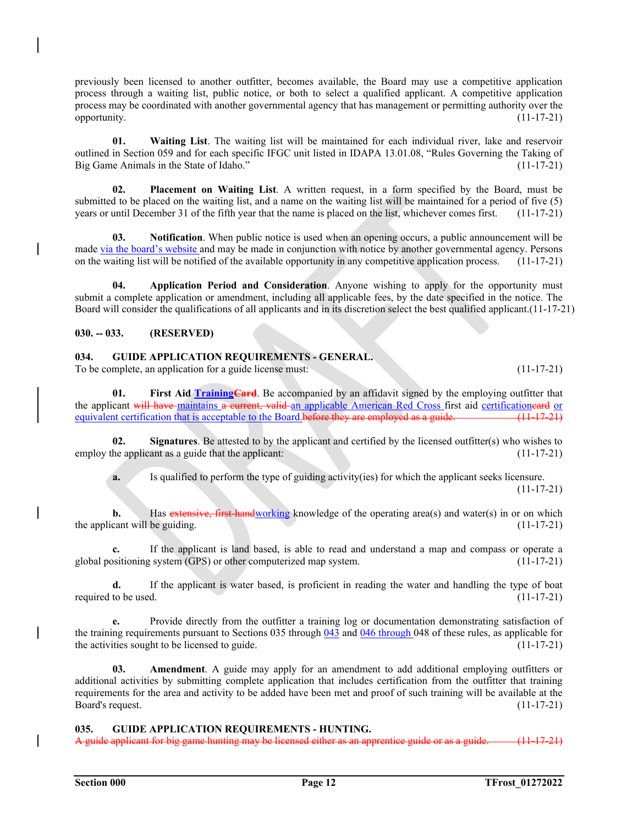previously been licensed to another outfitter, becomes available, the Board may use a competitive application process through a waiting list, public notice, or both to select a qualified applicant. A competitive application process may be coordinated with another governmental agency that has management or permitting authority over the opportunity.  $(11-17-21)$ 

**01. Waiting List**. The waiting list will be maintained for each individual river, lake and reservoir outlined in Section 059 and for each specific IFGC unit listed in IDAPA 13.01.08, "Rules Governing the Taking of Big Game Animals in the State of Idaho." (11-17-21)

**02. Placement on Waiting List**. A written request, in a form specified by the Board, must be submitted to be placed on the waiting list, and a name on the waiting list will be maintained for a period of five (5) years or until December 31 of the fifth year that the name is placed on the list, whichever comes first. (11-17-21)

**03.** Notification. When public notice is used when an opening occurs, a public announcement will be made via the board's website and may be made in conjunction with notice by another governmental agency. Persons on the waiting list will be notified of the available opportunity in any competitive application process. (11-17-21)

 **04. Application Period and Consideration**. Anyone wishing to apply for the opportunity must submit a complete application or amendment, including all applicable fees, by the date specified in the notice. The Board will consider the qualifications of all applicants and in its discretion select the best qualified applicant.(11-17-21)

# **030. -- 033. (RESERVED)**

# **034. GUIDE APPLICATION REQUIREMENTS - GENERAL.**

To be complete, an application for a guide license must: (11-17-21)

**01.** First Aid Training Card. Be accompanied by an affidavit signed by the employing outfitter that the applicant will have maintains a current, valid an applicable American Red Cross first aid certificationeard or equivalent certification that is acceptable to the Board.before they are employed as a guide. (11-17-21)

**02.** Signatures. Be attested to by the applicant and certified by the licensed outfitter(s) who wishes to employ the applicant as a guide that the applicant: (11-17-21)

**a.** Is qualified to perform the type of guiding activity(ies) for which the applicant seeks licensure.

 $(11-17-21)$ 

**b.** Has extensive, first-handworking knowledge of the operating area(s) and water(s) in or on which the applicant will be guiding. (11-17-21)

**c.** If the applicant is land based, is able to read and understand a map and compass or operate a global positioning system (GPS) or other computerized map system. (11-17-21)

**d.** If the applicant is water based, is proficient in reading the water and handling the type of boat required to be used.  $(11-17-21)$ 

**e.** Provide directly from the outfitter a training log or documentation demonstrating satisfaction of the training requirements pursuant to Sections 035 through 043 and 046 through 048 of these rules, as applicable for the activities sought to be licensed to guide.  $(11-17-21)$ 

 **03. Amendment**. A guide may apply for an amendment to add additional employing outfitters or additional activities by submitting complete application that includes certification from the outfitter that training requirements for the area and activity to be added have been met and proof of such training will be available at the Board's request. (11-17-21)

# **035. GUIDE APPLICATION REQUIREMENTS - HUNTING.**

A guide applicant for big game hunting may be licensed either as an apprentice guide or as a gu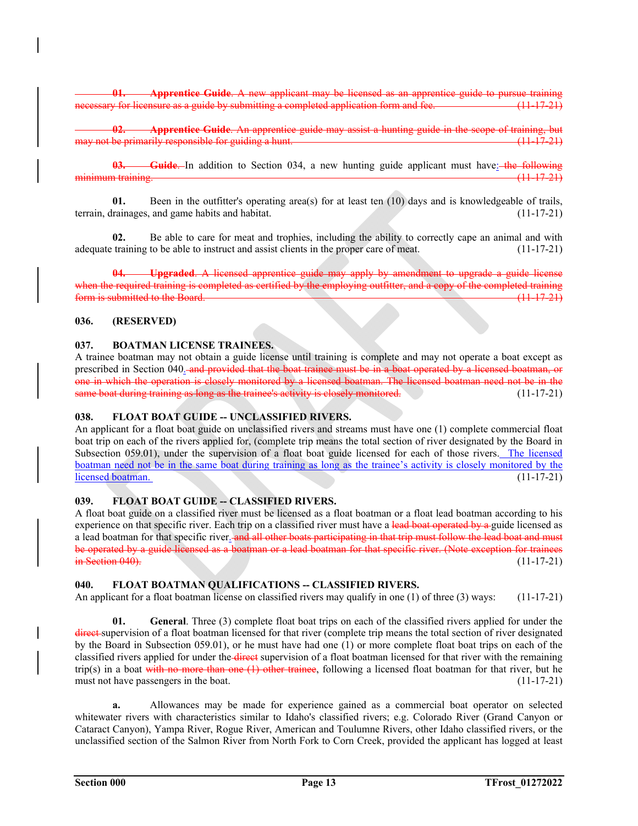**Apprentice Guide**. A new applicant may be licensed as an apprentice for licensure as a guide by submitting a completed application form and fee.

**02. Apprentice Guide**. An apprentice guide may assist a hunting guide in the scope of training, but not be primarily responsible for guiding a hunt.

**Guide.** In addition to Section 034, a new hunting guide applicant must have: the following minimum training. (11-17-21)

**01.** Been in the outfitter's operating area(s) for at least ten (10) days and is knowledgeable of trails, terrain, drainages, and game habits and habitat. (11-17-21)

**02.** Be able to care for meat and trophies, including the ability to correctly cape an animal and with adequate training to be able to instruct and assist clients in the proper care of meat.  $(11-17-21)$ 

**04. Upgraded**. A licensed apprentice guide may apply by amendment to upgrade a guide license when the required training is completed as certified by the employing outfitter, and a copy of the completed training form is submitted to the Board. (11-17-21)

# **036. (RESERVED)**

### **037. BOATMAN LICENSE TRAINEES.**

A trainee boatman may not obtain a guide license until training is complete and may not operate a boat except as prescribed in Section 040. and provided that the boat trainee must be in a boat operated by a licensed boatman, or one in which the operation is closely monitored by a licensed boatman. The licensed boatman need not be in the same boat during training as long as the trainee's activity is closely monitored. (11-17-21)

# **038. FLOAT BOAT GUIDE -- UNCLASSIFIED RIVERS.**

An applicant for a float boat guide on unclassified rivers and streams must have one (1) complete commercial float boat trip on each of the rivers applied for, (complete trip means the total section of river designated by the Board in Subsection 059.01), under the supervision of a float boat guide licensed for each of those rivers. The licensed boatman need not be in the same boat during training as long as the trainee's activity is closely monitored by the licensed boatman. (11-17-21)

# 039. FLOAT BOAT GUIDE - CLASSIFIED RIVERS.

A float boat guide on a classified river must be licensed as a float boatman or a float lead boatman according to his experience on that specific river. Each trip on a classified river must have a lead boat operated by a guide licensed as a lead boatman for that specific river. and all other boats participating in that trip must follow the lead boat and must be operated by a guide licensed as a boatman or a lead boatman for that specific river. (Note exception for trainees in Section 040). (11-17-21)

# 040. FLOAT BOATMAN QUALIFICATIONS -- CLASSIFIED RIVERS.

An applicant for a float boatman license on classified rivers may qualify in one (1) of three (3) ways: (11-17-21)

**01. General**. Three (3) complete float boat trips on each of the classified rivers applied for under the direct supervision of a float boatman licensed for that river (complete trip means the total section of river designated by the Board in Subsection 059.01), or he must have had one (1) or more complete float boat trips on each of the classified rivers applied for under the direct supervision of a float boatman licensed for that river with the remaining trip(s) in a boat with no more than one  $(1)$  other trainee, following a licensed float boatman for that river, but he must not have passengers in the boat. (11-17-21)

**a.** Allowances may be made for experience gained as a commercial boat operator on selected whitewater rivers with characteristics similar to Idaho's classified rivers; e.g. Colorado River (Grand Canyon or Cataract Canyon), Yampa River, Rogue River, American and Toulumne Rivers, other Idaho classified rivers, or the unclassified section of the Salmon River from North Fork to Corn Creek, provided the applicant has logged at least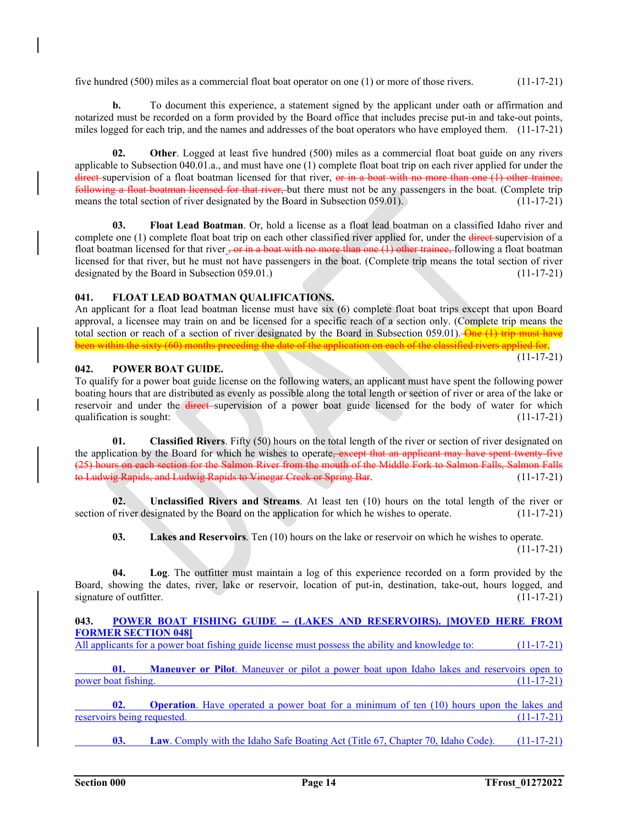five hundred (500) miles as a commercial float boat operator on one (1) or more of those rivers. (11-17-21)

**b.** To document this experience, a statement signed by the applicant under oath or affirmation and notarized must be recorded on a form provided by the Board office that includes precise put-in and take-out points, miles logged for each trip, and the names and addresses of the boat operators who have employed them. (11-17-21)

**02. Other**. Logged at least five hundred (500) miles as a commercial float boat guide on any rivers applicable to Subsection 040.01.a., and must have one (1) complete float boat trip on each river applied for under the direct supervision of a float boatman licensed for that river, or in a boat with no more than one (1) other trainee, following a float boatman licensed for that river, but there must not be any passengers in the boat. (Complete trip means the total section of river designated by the Board in Subsection 059.01). (11-17-21)

**03. Float Lead Boatman**. Or, hold a license as a float lead boatman on a classified Idaho river and complete one (1) complete float boat trip on each other classified river applied for, under the <del>direct</del> supervision of a float boatman licensed for that river  $\frac{1}{2}$  or in a boat with no more than one (1) other trainee, following a float boatman licensed for that river, but he must not have passengers in the boat. (Complete trip means the total section of river designated by the Board in Subsection 059.01.) (11-17-21)

# **041. FLOAT LEAD BOATMAN QUALIFICATIONS.**

An applicant for a float lead boatman license must have six (6) complete float boat trips except that upon Board approval, a licensee may train on and be licensed for a specific reach of a section only. (Complete trip means the total section or reach of a section of river designated by the Board in Subsection 059.01). One (1) trip must have been within the sixty (60) months preceding the date of the application on each of the classified rivers applied for.  $(11-17-21)$ 

# **042. POWER BOAT GUIDE.**

To qualify for a power boat guide license on the following waters, an applicant must have spent the following power boating hours that are distributed as evenly as possible along the total length or section of river or area of the lake or reservoir and under the direct supervision of a power boat guide licensed for the body of water for which qualification is sought:  $(11-17-21)$ 

**01. Classified Rivers**. Fifty (50) hours on the total length of the river or section of river designated on the application by the Board for which he wishes to operate, except that an applicant may have spent twenty-five (25) hours on each section for the Salmon River from the mouth of the Middle Fork to Salmon Falls, Salmon Falls to Ludwig Rapids, and Ludwig Rapids to Vinegar Creek or Spring Bar. (11-17-21)

**02. Unclassified Rivers and Streams**. At least ten (10) hours on the total length of the river or section of river designated by the Board on the application for which he wishes to operate. (11-17-21)

**03. Lakes and Reservoirs**. Ten (10) hours on the lake or reservoir on which he wishes to operate.  $(11-17-21)$ 

**04. Log**. The outfitter must maintain a log of this experience recorded on a form provided by the Board, showing the dates, river, lake or reservoir, location of put-in, destination, take-out, hours logged, and signature of outfitter. (11-17-21)

# 043. POWER BOAT FISHING GUIDE -- (LAKES AND RESERVOIRS). [MOVED HERE FROM **FORMER SECTION 048]**

All applicants for a power boat fishing guide license must possess the ability and knowledge to: (11-17-21)

**01. Maneuver or Pilot**. Maneuver or pilot a power boat upon Idaho lakes and reservoirs open to power boat fishing. (11-17-21)

**02. Operation**. Have operated a power boat for a minimum of ten (10) hours upon the lakes and reservoirs being requested. (11-17-21)

**03.** Law. Comply with the Idaho Safe Boating Act (Title 67, Chapter 70, Idaho Code). (11-17-21)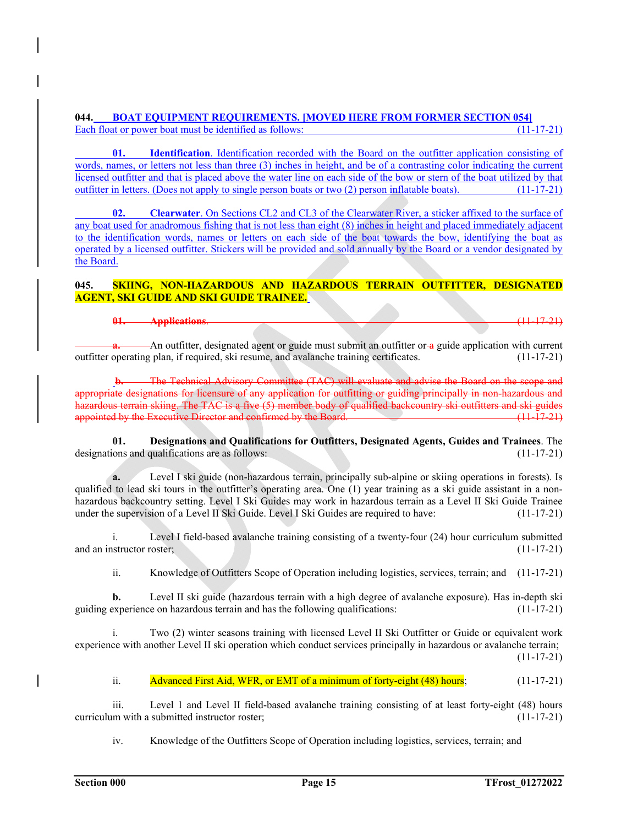# **044. BOAT EQUIPMENT REQUIREMENTS. [MOVED HERE FROM FORMER SECTION 054]**  Each float or power boat must be identified as follows: (11-17-21)

**01. Identification**. Identification recorded with the Board on the outfitter application consisting of words, names, or letters not less than three (3) inches in height, and be of a contrasting color indicating the current licensed outfitter and that is placed above the water line on each side of the bow or stern of the boat utilized by that outfitter in letters. (Does not apply to single person boats or two (2) person inflatable boats). (11 outfitter in letters. (Does not apply to single person boats or two (2) person inflatable boats).

 **02. Clearwater**. On Sections CL2 and CL3 of the Clearwater River, a sticker affixed to the surface of any boat used for anadromous fishing that is not less than eight (8) inches in height and placed immediately adjacent to the identification words, names or letters on each side of the boat towards the bow, identifying the boat as operated by a licensed outfitter. Stickers will be provided and sold annually by the Board or a vendor designated by the Board.

# **045. SKIING, NON-HAZARDOUS AND HAZARDOUS TERRAIN OUTFITTER, DESIGNATED AGENT, SKI GUIDE AND SKI GUIDE TRAINEE.**

# **01. Applications**. (11-17-21)

**a.** An outfitter, designated agent or guide must submit an outfitter or a guide application with current outfitter operating plan, if required, ski resume, and avalanche training certificates. (11-17-21)

**b.** The Technical Advisory Committee (TAC) will evaluate and advise the Board on the scope and ate designations for licensure of any application for outfitting or guiding principally in non-hazardous and rdous terrain skiing. The TAC is a five (5) member body of qualified backcountry ski outfitters and ski guides appointed by the Executive Director and confirmed by the Board. (11-17-21)

**01. Designations and Qualifications for Outfitters, Designated Agents, Guides and Trainees**. The designations and qualifications are as follows: (11-17-21)

**a.** Level I ski guide (non-hazardous terrain, principally sub-alpine or skiing operations in forests). Is qualified to lead ski tours in the outfitter's operating area. One (1) year training as a ski guide assistant in a nonhazardous backcountry setting. Level I Ski Guides may work in hazardous terrain as a Level II Ski Guide Trainee under the supervision of a Level II Ski Guide. Level I Ski Guides are required to have: (11-17-21)

 i. Level I field-based avalanche training consisting of a twenty-four (24) hour curriculum submitted and an instructor roster; (11-17-21)

ii. Knowledge of Outfitters Scope of Operation including logistics, services, terrain; and (11-17-21)

**b.** Level II ski guide (hazardous terrain with a high degree of avalanche exposure). Has in-depth ski guiding experience on hazardous terrain and has the following qualifications: (11-17-21)

Two (2) winter seasons training with licensed Level II Ski Outfitter or Guide or equivalent work experience with another Level II ski operation which conduct services principally in hazardous or avalanche terrain;  $(11-17-21)$ 

ii. Advanced First Aid, WFR, or EMT of a minimum of forty-eight (48) hours; (11-17-21)

 iii. Level 1 and Level II field-based avalanche training consisting of at least forty-eight (48) hours curriculum with a submitted instructor roster; (11-17-21)

iv. Knowledge of the Outfitters Scope of Operation including logistics, services, terrain; and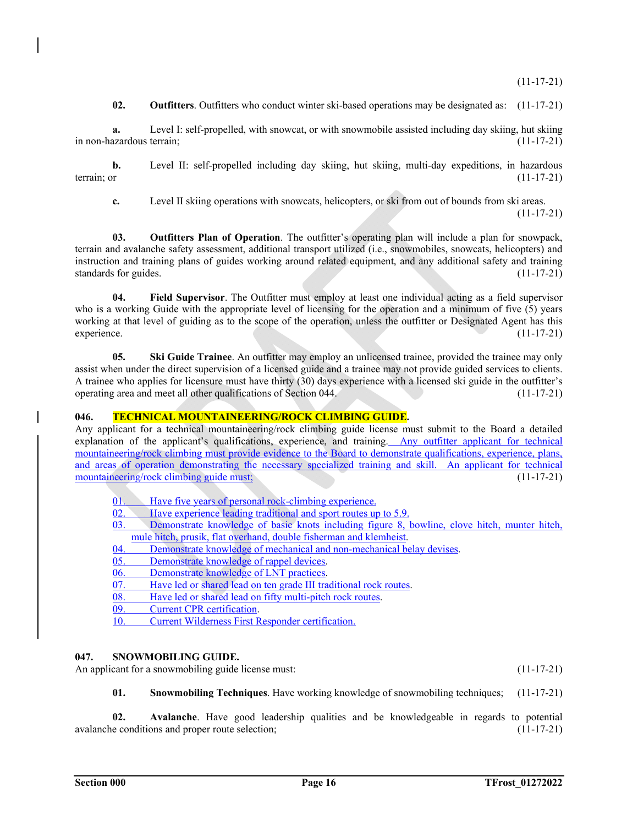$(11-17-21)$ 

**02. Outfitters**. Outfitters who conduct winter ski-based operations may be designated as: (11-17-21)

**a.** Level I: self-propelled, with snowcat, or with snowmobile assisted including day skiing, hut skiing in non-hazardous terrain; (11-17-21)

**b.** Level II: self-propelled including day skiing, hut skiing, multi-day expeditions, in hazardous terrain; or (11-17-21) terrain; or  $(11-17-21)$ 

**c.** Level II skiing operations with snowcats, helicopters, or ski from out of bounds from ski areas.

 $(11-17-21)$ 

**03. Outfitters Plan of Operation**. The outfitter's operating plan will include a plan for snowpack, terrain and avalanche safety assessment, additional transport utilized (i.e., snowmobiles, snowcats, helicopters) and instruction and training plans of guides working around related equipment, and any additional safety and training standards for guides. (11-17-21)

**04. Field Supervisor**. The Outfitter must employ at least one individual acting as a field supervisor who is a working Guide with the appropriate level of licensing for the operation and a minimum of five (5) years working at that level of guiding as to the scope of the operation, unless the outfitter or Designated Agent has this experience. (11-17-21)

**05. Ski Guide Trainee**. An outfitter may employ an unlicensed trainee, provided the trainee may only assist when under the direct supervision of a licensed guide and a trainee may not provide guided services to clients. A trainee who applies for licensure must have thirty (30) days experience with a licensed ski guide in the outfitter's operating area and meet all other qualifications of Section 044. (11-17-21)

# **046. TECHNICAL MOUNTAINEERING/ROCK CLIMBING GUIDE.**

Any applicant for a technical mountaineering/rock climbing guide license must submit to the Board a detailed explanation of the applicant's qualifications, experience, and training. Any outfitter applicant for technical mountaineering/rock climbing must provide evidence to the Board to demonstrate qualifications, experience, plans, and areas of operation demonstrating the necessary specialized training and skill. An applicant for technical mountaineering/rock climbing guide must; (11-17-21)

01. Have five years of personal rock-climbing experience.

02. Have experience leading traditional and sport routes up to 5.9.<br>03. Demonstrate knowledge of basic knots including figure 8.

- Demonstrate knowledge of basic knots including figure 8, bowline, clove hitch, munter hitch, mule hitch, prusik, flat overhand, double fisherman and klemheist.
- 04. Demonstrate knowledge of mechanical and non-mechanical belay devises.
- 05. Demonstrate knowledge of rappel devices.
- 06. Demonstrate knowledge of LNT practices.
- 07. Have led or shared lead on ten grade III traditional rock routes.<br>08. Have led or shared lead on fifty multi-pitch rock routes.
- Have led or shared lead on fifty multi-pitch rock routes.
- 09. Current CPR certification.
- 10. Current Wilderness First Responder certification.

# **047. SNOWMOBILING GUIDE.**

An applicant for a snowmobiling guide license must: (11-17-21)

**01. Snowmobiling Techniques**. Have working knowledge of snowmobiling techniques; (11-17-21)

**02. Avalanche**. Have good leadership qualities and be knowledgeable in regards to potential avalanche conditions and proper route selection; (11-17-21)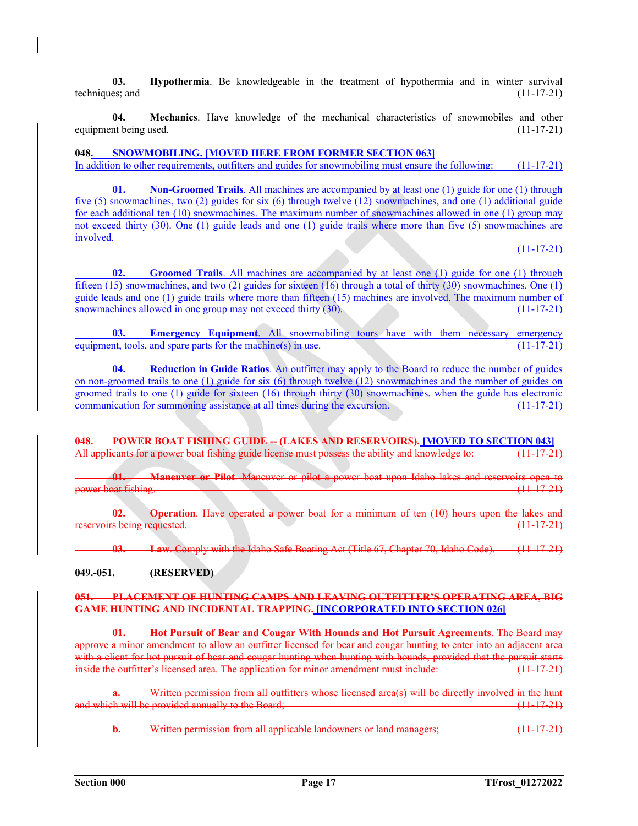**03. Hypothermia**. Be knowledgeable in the treatment of hypothermia and in winter survival techniques; and  $(11-17-21)$ 

**04. Mechanics**. Have knowledge of the mechanical characteristics of snowmobiles and other equipment being used. (11-17-21)

# **048. SNOWMOBILING. [MOVED HERE FROM FORMER SECTION 063]**

In addition to other requirements, outfitters and guides for snowmobiling must ensure the following: (11-17-21)

**01.** Non-Groomed Trails. All machines are accompanied by at least one (1) guide for one (1) through five (5) snowmachines, two (2) guides for six (6) through twelve (12) snowmachines, and one (1) additional guide for each additional ten (10) snowmachines. The maximum number of snowmachines allowed in one (1) group may not exceed thirty (30). One (1) guide leads and one (1) guide trails where more than five (5) snowmachines are involved.

### $(11-17-21)$

**02. Groomed Trails**. All machines are accompanied by at least one (1) guide for one (1) through fifteen (15) snowmachines, and two (2) guides for sixteen (16) through a total of thirty (30) snowmachines. One (1) guide leads and one (1) guide trails where more than fifteen (15) machines are involved. The maximum number of snowmachines allowed in one group may not exceed thirty (30). (11-17-21) snowmachines allowed in one group may not exceed thirty (30).

**03. Emergency Equipment**. All snowmobiling tours have with them necessary emergency equipment, tools, and spare parts for the machine(s) in use.  $(11-17-21)$ 

**Reduction in Guide Ratios**. An outfitter may apply to the Board to reduce the number of guides on non-groomed trails to one (1) guide for six (6) through twelve (12) snowmachines and the number of guides on groomed trails to one (1) guide for sixteen (16) through thirty (30) snowmachines, when the guide has electronic communication for summoning assistance at all times during the excursion. (11-17-21)

**048. POWER BOAT FISHING GUIDE -- (LAKES AND RESERVOIRS).** [MOVED TO SECTION 043]<br>All applicants for a power boat fishing guide license must possess the ability and knowledge to: \_\_\_\_\_\_\_\_\_\_(11-17-21) All applicants for a power boat fishing guide license must possess the ability and knowledge to:

**01. Maneuver or Pilot**. Maneuver or pilot a power boat upon Idaho lakes and reservoirs open to power boat fishing. (11-17-21)

**Operation**. Have operated a power boat for a minimum of ten (10) hours upon the lakes and<br>requested. (11-17-21) reservoirs being requested.

**03. Law**. Comply with the Idaho Safe Boating Act (Title 67, Chapter 70, Idaho Code). (11-17-21)

# **049.-051. (RESERVED)**

#### **051. PLACEMENT OF HUNTING CAMPS AND LEAVING OUTFITTER'S OPERATING AREA, BIG GAME HUNTING AND INCIDENTAL TRAPPING. [INCORPORATED INTO SECTION 026]**

 **01. Hot Pursuit of Bear and Cougar With Hounds and Hot Pursuit Agreements**. The Board may approve a minor amendment to allow an outfitter licensed for bear and cougar hunting to enter into an adjacent area with a client for hot pursuit of bear and cougar hunting when hunting with hounds, provided that the pursuit starts inside the outfitter's licensed area. The application for minor amendment must include: (11-17-21)

|                                                                                                                                                                           |  | Written permission from all outfitters whose licensed area(s) will be directly involved in the hunt<br><u>'n nien peninssion nom an oainteers whose neelised died(s) will be difectly liftofred in the hullt</u> |
|---------------------------------------------------------------------------------------------------------------------------------------------------------------------------|--|------------------------------------------------------------------------------------------------------------------------------------------------------------------------------------------------------------------|
| and which will be provided appually to the Roard.<br><u>ti sa taman ya sa tana sa matsa matsa matsa ya tana ya tana ya matsa ya sana ya matsa ya matsa ya matsa ya ta</u> |  |                                                                                                                                                                                                                  |

**Written permission from all applicable landowners or land managers; (11-17-21)** (11-17-21)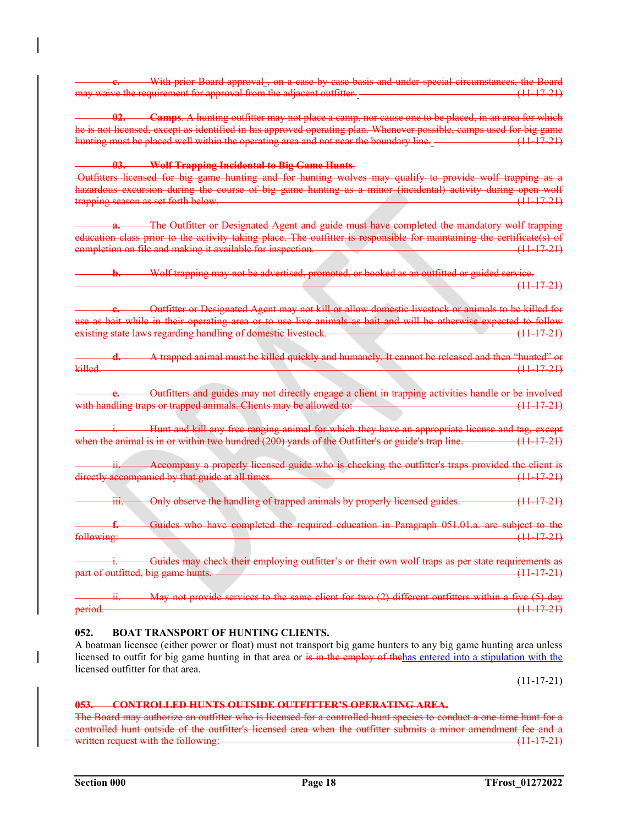**-** With prior Board approval, on a case by case basis and under special circumstances, the Board may waive the requirement for approval from the adjacent outfitter. (11-17-21)

 **02. Camps**. A hunting outfitter may not place a camp, nor cause one to be placed, in an area for which he is not licensed, except as identified in his approved operating plan. Whenever possible, camps used for big game hunting must be placed well within the operating area and not near the boundary line. (11-17-21)

 **03. Wolf Trapping Incidental to Big Game Hunts**.

 Outfitters licensed for big game hunting and for hunting wolves may qualify to provide wolf trapping as a hazardous excursion during the course of big game hunting as a minor (incidental) activity during open wolf trapping season as set forth below. (11-17-21)

 **a.** The Outfitter or Designated Agent and guide must have completed the mandatory wolf trapping education class prior to the activity taking place. The outfitter is responsible for maintaining the certificate(s) of completion on file and making it available for inspection. (11-17-21)

**b.** Wolf trapping may not be advertised, promoted, or booked as an outfitted or guided service. (11-17-21)

**c.** Outfitter or Designated Agent may not kill or allow domestic livestock or animals to be killed for use as bait while in their operating area or to use live animals as bait and will be otherwise expected to follow existing state laws regarding handling of domestic livestock. (11-17-21)

**d.** A trapped animal must be killed quickly and humanely. It cannot be released and then "hunted" or killed. (11-17-21)

**e.** Outfitters and guides may not directly engage a client in trapping activities handle or be involved with handling traps or trapped animals. Clients may be allowed to: (11-17-21)

Hunt and kill any free ranging animal for which they have an appropriate license and tag, except when the animal is in or within two hundred (200) yards of the Outfitter's or guide's trap line. (11-17-21)

Accompany a properly licensed guide who is checking the outfitter's traps provided the client is directly accompanied by that guide at all times.

Only observe the handling of trapped animals by properly licensed guides. (11-17-21)

 **f.** Guides who have completed the required education in Paragraph 051.01.a. are subject to the following: (11-17-21)

Guides may check their employing outfitter's or their own wolf traps as per state requirements as part of outfitted, big game hunts. (11-17-21)

May not provide services to the same client for two (2) different outfitters within a five (5) day period. (11-17-21)

# **052. BOAT TRANSPORT OF HUNTING CLIENTS.**

A boatman licensee (either power or float) must not transport big game hunters to any big game hunting area unless licensed to outfit for big game hunting in that area or is in the employ of the has entered into a stipulation with the licensed outfitter for that area.

 $(11-17-21)$ 

### **053. CONTROLLED HUNTS OUTSIDE OUTFITTER'S OPERATING AREA.**

The Board may authorize an outfitter who is licensed for a controlled hunt species to conduct a one-time hunt for a controlled hunt outside of the outfitter's licensed area when the outfitter submits a minor amendment fee and a written request with the following:  $(11-17-21)$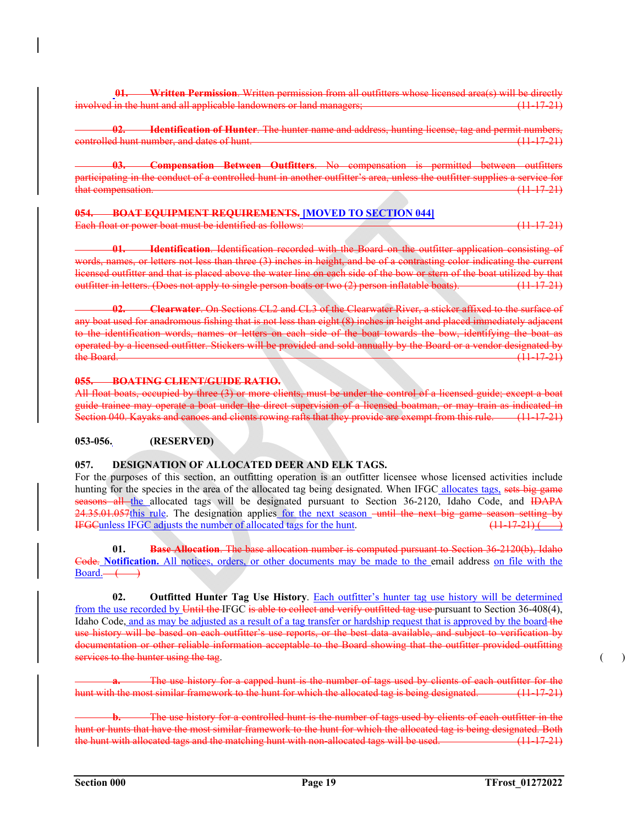**01. Written Permission**. Written permission from all outfitters whose licensed area(s) will be directly involved in the hunt and all applicable landowners or land managers; (11-17-21)

**12. Identification of Hunter**. The hunter name and address, hunting license, tag and permit numbers, controlled hunt number, and dates of hunt. (11-17-21)

**Compensation Between Outfitters**. No compensation is permitted between outfitters participating in the conduct of a controlled hunt in another outfitter's area, unless the outfitter supplies a service for that compensation.  $(11-17-21)$ 

**054. BOAT EQUIPMENT REQUIREMENTS. [MOVED TO SECTION 044]** Each float or power boat must be identified as follows: (11-17-21)

**01. Identification**. Identification recorded with the Board on the outfitter application consisting of words, names, or letters not less than three (3) inches in height, and be of a contrasting color indicating the current licensed outfitter and that is placed above the water line on each side of the bow or stern of the boat utilized by that outfitter in letters. (Does not apply to single person boats or two (2) person inflatable boats). (11-17-21)

 **02. Clearwater**. On Sections CL2 and CL3 of the Clearwater River, a sticker affixed to the surface of any boat used for anadromous fishing that is not less than eight (8) inches in height and placed immediately adjacent to the identification words, names or letters on each side of the boat towards the bow, identifying the boat as operated by a licensed outfitter. Stickers will be provided and sold annually by the Board or a vendor designated by the Board. (11-17-21)

### **055. BOATING CLIENT/GUIDE RATIO.**

All float boats, occupied by three (3) or more clients, must be under the control of a licensed guide; except a boat guide trainee may operate a boat under the direct supervision of a licensed boatman, or may train as indicated in Section 040. Kayaks and canoes and clients rowing rafts that they provide are exempt from this rule. (11-17-21)

# **053-056. (RESERVED)**

# **057. DESIGNATION OF ALLOCATED DEER AND ELK TAGS.**

For the purposes of this section, an outfitting operation is an outfitter licensee whose licensed activities include hunting for the species in the area of the allocated tag being designated. When IFGC allocates tags, sets big game seasons all the allocated tags will be designated pursuant to Section 36-2120, Idaho Code, and IDAPA 24.35.01.057this rule. The designation applies for the next season – until the next big game season setting by IFGCunless IFGC adjusts the number of allocated tags for the hunt.  $(11-17-21)$ 

 **01. Base Allocation**. The base allocation number is computed pursuant to Section 36-2120(b), Idaho Code. **Notification.** All notices, orders, or other documents may be made to the email address on file with the  $Board. \longrightarrow$ 

 **02. Outfitted Hunter Tag Use History**. Each outfitter's hunter tag use history will be determined from the use recorded by Until the IFGC is able to collect and verify outfitted tag use pursuant to Section 36-408(4), Idaho Code, and as may be adjusted as a result of a tag transfer or hardship request that is approved by the board-the use history will be based on each outfitter's use reports, or the best data available, and subject to verification by documentation or other reliable information acceptable to the Board showing that the outfitter provided outfitting services to the hunter using the tag. (a) and the tag in the tag in the tag in the tag in the tag in the tag i

The use history for a capped hunt is the number of tags used by clients of each outfitter for the hunt with the most similar framework to the hunt for which the allocated tag is being designated. (11-17-21)

The use history for a controlled hunt is the number of tags used by clients of each outfitter in the hunt or hunts that have the most similar framework to the hunt for which the allocated tag is being designated. Both the hunt with allocated tags and the matching hunt with non-allocated tags will be used. (11-17-21)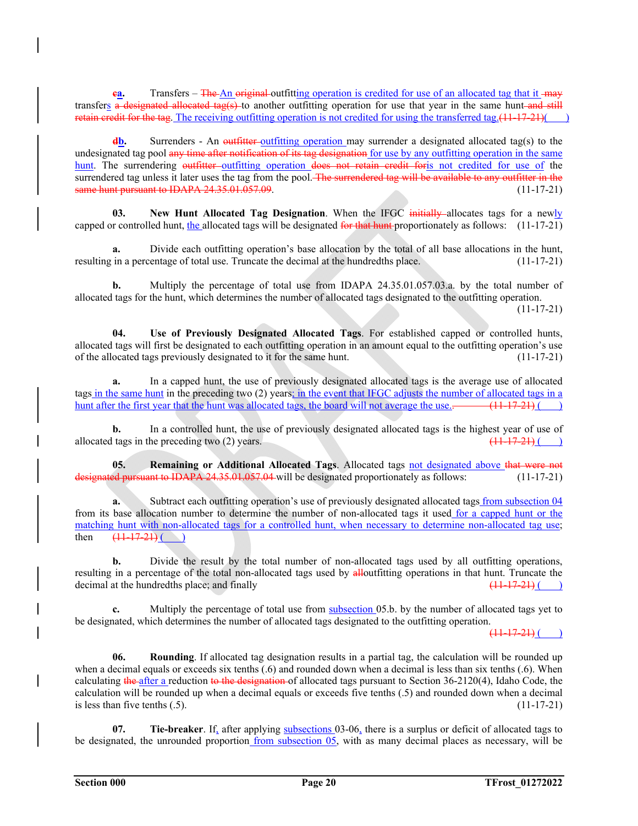**ea.** Transfers – The An original outfitting operation is credited for use of an allocated tag that it may transfers a designated allocated tag(s) to another outfitting operation for use that year in the same hunt and still retain credit for the tag. The receiving outfitting operation is not credited for using the transferred tag. $(11-17-21)$ ()

**db.** Surrenders - An outfitter-outfitting operation may surrender a designated allocated tag(s) to the undesignated tag pool any time after notification of its tag designation for use by any outfitting operation in the same hunt. The surrendering outfitter outfitting operation does not retain credit for is not credited for use of the surrendered tag unless it later uses the tag from the pool. The surrendered tag will be available to any outfitter in the same hunt pursuant to IDAPA 24.35.01.057.09. (11-17-21)

**03.** New Hunt Allocated Tag Designation. When the IFGC initially allocates tags for a newly capped or controlled hunt, the allocated tags will be designated for that hunt proportionately as follows:  $(11-17-21)$ 

**a.** Divide each outfitting operation's base allocation by the total of all base allocations in the hunt, resulting in a percentage of total use. Truncate the decimal at the hundredths place. (11-17-21)

**b.** Multiply the percentage of total use from IDAPA 24.35.01.057.03.a. by the total number of allocated tags for the hunt, which determines the number of allocated tags designated to the outfitting operation.

 $(11-17-21)$ 

 **04. Use of Previously Designated Allocated Tags**. For established capped or controlled hunts, allocated tags will first be designated to each outfitting operation in an amount equal to the outfitting operation's use of the allocated tags previously designated to it for the same hunt. (11-17-21)

 **a.** In a capped hunt, the use of previously designated allocated tags is the average use of allocated tags in the same hunt in the preceding two (2) years; in the event that IFGC adjusts the number of allocated tags in a hunt after the first year that the hunt was allocated tags, the board will not average the use.  $\frac{(11-17-21)}{(11-17-21)}$ 

**b.** In a controlled hunt, the use of previously designated allocated tags is the highest year of use of allocated tags in the preceding two (2) years.  $\left(11-17-21\right)$  (1)

 **05. Remaining or Additional Allocated Tags**. Allocated tags not designated above that were not ded pursuant to IDAPA 24.35.01.057.04 will be designated proportionately as follows:  $(11-17-21)$ 

**a.** Subtract each outfitting operation's use of previously designated allocated tags from subsection 04 from its base allocation number to determine the number of non-allocated tags it used for a capped hunt or the matching hunt with non-allocated tags for a controlled hunt, when necessary to determine non-allocated tag use; then  $(11-17-21)$  ( )

**b.** Divide the result by the total number of non-allocated tags used by all outfitting operations, resulting in a percentage of the total non-allocated tags used by alloutfitting operations in that hunt. Truncate the decimal at the hundredths place; and finally  $\left(11-17-21\right)$  (11-17-21)

**c.** Multiply the percentage of total use from subsection 05.b. by the number of allocated tags yet to be designated, which determines the number of allocated tags designated to the outfitting operation.

 $(11-17-21)$  ( )

 **06. Rounding**. If allocated tag designation results in a partial tag, the calculation will be rounded up when a decimal equals or exceeds six tenths (.6) and rounded down when a decimal is less than six tenths (.6). When calculating the after a reduction to the designation of allocated tags pursuant to Section  $36-2120(4)$ , Idaho Code, the calculation will be rounded up when a decimal equals or exceeds five tenths (.5) and rounded down when a decimal is less than five tenths  $(.5)$ . (11-17-21)

**07.** Tie-breaker. If, after applying subsections 03-06, there is a surplus or deficit of allocated tags to be designated, the unrounded proportion from subsection 05, with as many decimal places as necessary, will be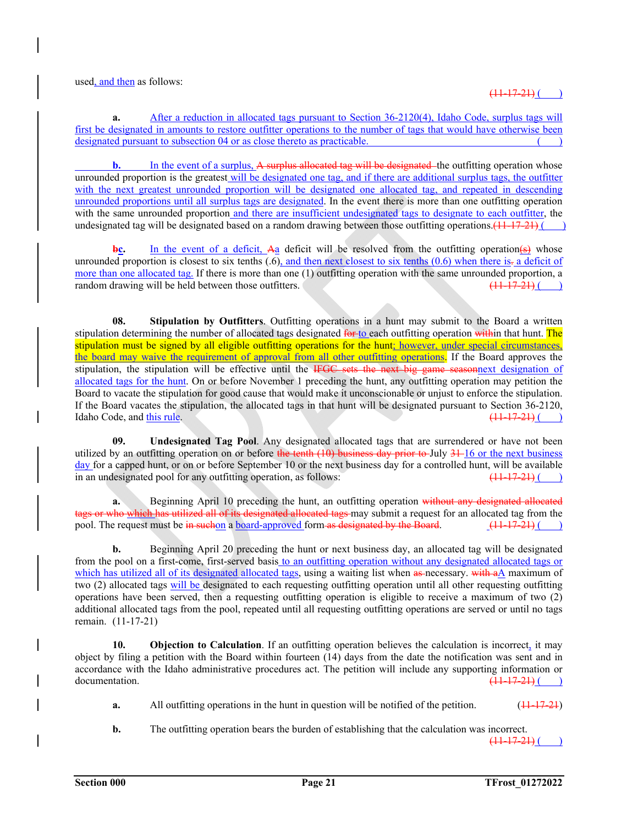used, and then as follows:

 $(11-17-21)$  ( )

**a.** After a reduction in allocated tags pursuant to Section 36-2120(4), Idaho Code, surplus tags will first be designated in amounts to restore outfitter operations to the number of tags that would have otherwise been designated pursuant to subsection 04 or as close thereto as practicable.

**b.** In the event of a surplus, A surplus allocated tag will be designated the outfitting operation whose unrounded proportion is the greatest will be designated one tag, and if there are additional surplus tags, the outfitter with the next greatest unrounded proportion will be designated one allocated tag, and repeated in descending unrounded proportions until all surplus tags are designated. In the event there is more than one outfitting operation with the same unrounded proportion and there are insufficient undesignated tags to designate to each outfitter, the undesignated tag will be designated based on a random drawing between those outfitting operations.  $(11-17-21)$  ()

**bc.** In the event of a deficit, Aa deficit will be resolved from the outfitting operation(s) whose unrounded proportion is closest to six tenths  $(.6)$ , and then next closest to six tenths  $(0.6)$  when there is. a deficit of more than one allocated tag. If there is more than one (1) outfitting operation with the same unrounded proportion, a random drawing will be held between those outfitters.  $\frac{(11 \cdot 17 \cdot 21)}{(11 \cdot 17 \cdot 21)}$ random drawing will be held between those outfitters.

**08.** Stipulation by Outfitters. Outfitting operations in a hunt may submit to the Board a written stipulation determining the number of allocated tags designated for to each outfitting operation within that hunt. The stipulation must be signed by all eligible outfitting operations for the hunt; however, under special circumstances, the board may waive the requirement of approval from all other outfitting operations. If the Board approves the stipulation, the stipulation will be effective until the IFGC sets the next big game seasonnext designation of allocated tags for the hunt. On or before November 1 preceding the hunt, any outfitting operation may petition the Board to vacate the stipulation for good cause that would make it unconscionable or unjust to enforce the stipulation. If the Board vacates the stipulation, the allocated tags in that hunt will be designated pursuant to Section 36-2120, Idaho Code. and this rule.  $\frac{(11-17-21)}{(11-17-21)}$ Idaho Code, and this rule.

 **09. Undesignated Tag Pool**. Any designated allocated tags that are surrendered or have not been utilized by an outfitting operation on or before the tenth (10) business day prior to July 31-16 or the next business day for a capped hunt, or on or before September 10 or the next business day for a controlled hunt, will be available in an undesignated pool for any outfitting operation, as follows:  $\left(11-17-21\right)$  (

**a.** Beginning April 10 preceding the hunt, an outfitting operation without any designated allocated ich has utilized all of its designated allocated tags may submit a request for an allocated tag from the pool. The request must be  $\frac{1}{2}$  in such a board-approved form as designated by the Board. (11-17-21) ()

**b.** Beginning April 20 preceding the hunt or next business day, an allocated tag will be designated from the pool on a first-come, first-served basis to an outfitting operation without any designated allocated tags or which has utilized all of its designated allocated tags, using a waiting list when as necessary. with aA maximum of two (2) allocated tags will be designated to each requesting outfitting operation until all other requesting outfitting operations have been served, then a requesting outfitting operation is eligible to receive a maximum of two (2) additional allocated tags from the pool, repeated until all requesting outfitting operations are served or until no tags remain. (11-17-21)

**10. Objection to Calculation**. If an outfitting operation believes the calculation is incorrect, it may object by filing a petition with the Board within fourteen (14) days from the date the notification was sent and in accordance with the Idaho administrative procedures act. The petition will include any supporting information or  $d$  documentation.  $\left(11-17-21\right)$  (and  $\left(11-17-21\right)$  (b)

- **a.** All outfitting operations in the hunt in question will be notified of the petition. (11-17-21)
- **b.** The outfitting operation bears the burden of establishing that the calculation was incorrect.

 $(11-17-21)$  ( )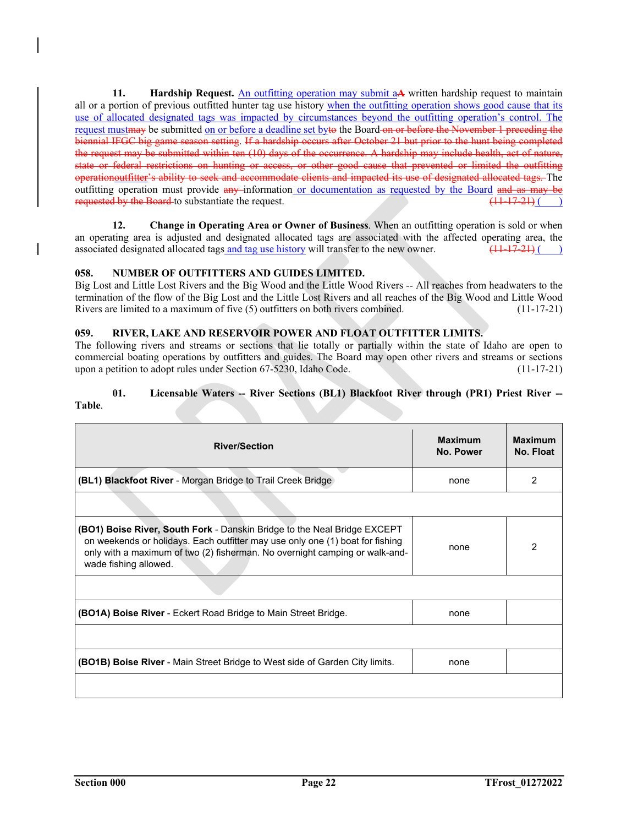**11. Hardship Request.** An outfitting operation may submit a**A** written hardship request to maintain all or a portion of previous outfitted hunter tag use history when the outfitting operation shows good cause that its use of allocated designated tags was impacted by circumstances beyond the outfitting operation's control. The request must may be submitted on or before a deadline set byto the Board on or before the November 1 preceding the biennial IFGC big game season setting. If a hardship occurs after October 21 but prior to the hunt being completed the request may be submitted within ten (10) days of the occurrence. A hardship may include health, act of nature, state or federal restrictions on hunting or access, or other good cause that prevented or limited the outfitting operationoutfitter's ability to seek and accommodate clients and impacted its use of designated allocated tags. The outfitting operation must provide any information or documentation as requested by the Board and as may be requested by the Board to substantiate the request. (11-17-21) (a)

**12. Change in Operating Area or Owner of Business**. When an outfitting operation is sold or when an operating area is adjusted and designated allocated tags are associated with the affected operating area, the associated designated allocated tags and tag use history will transfer to the new owner.  $\frac{(11-17-21)}{(11-17-21)}$ 

# **058. NUMBER OF OUTFITTERS AND GUIDES LIMITED.**

Big Lost and Little Lost Rivers and the Big Wood and the Little Wood Rivers -- All reaches from headwaters to the termination of the flow of the Big Lost and the Little Lost Rivers and all reaches of the Big Wood and Little Wood Rivers are limited to a maximum of five (5) outfitters on both rivers combined. (11-17-21)

# **059. RIVER, LAKE AND RESERVOIR POWER AND FLOAT OUTFITTER LIMITS.**

The following rivers and streams or sections that lie totally or partially within the state of Idaho are open to commercial boating operations by outfitters and guides. The Board may open other rivers and streams or sections upon a petition to adopt rules under Section 67-5230, Idaho Code. (11-17-21)

# **01.** Licensable Waters -- River Sections (BL1) Blackfoot River through (PR1) Priest River --

# **Table**.

| <b>River/Section</b>                                                                                                                                                                                                                                                     | <b>Maximum</b><br>No. Power | <b>Maximum</b><br>No. Float |
|--------------------------------------------------------------------------------------------------------------------------------------------------------------------------------------------------------------------------------------------------------------------------|-----------------------------|-----------------------------|
| (BL1) Blackfoot River - Morgan Bridge to Trail Creek Bridge                                                                                                                                                                                                              | none                        | 2                           |
|                                                                                                                                                                                                                                                                          |                             |                             |
| <b>(BO1) Boise River, South Fork -</b> Danskin Bridge to the Neal Bridge EXCEPT<br>on weekends or holidays. Each outfitter may use only one (1) boat for fishing<br>only with a maximum of two (2) fisherman. No overnight camping or walk-and-<br>wade fishing allowed. | none                        | 2                           |
|                                                                                                                                                                                                                                                                          |                             |                             |
| <b>(BO1A) Boise River</b> - Eckert Road Bridge to Main Street Bridge.                                                                                                                                                                                                    | none                        |                             |
|                                                                                                                                                                                                                                                                          |                             |                             |
| <b>(BO1B) Boise River</b> - Main Street Bridge to West side of Garden City limits.                                                                                                                                                                                       | none                        |                             |
|                                                                                                                                                                                                                                                                          |                             |                             |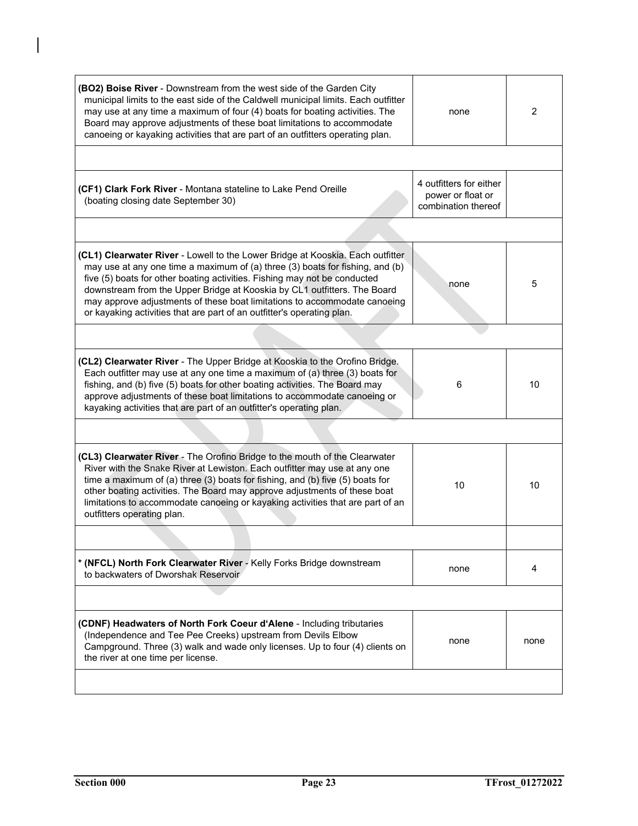| (BO2) Boise River - Downstream from the west side of the Garden City<br>municipal limits to the east side of the Caldwell municipal limits. Each outfitter<br>may use at any time a maximum of four (4) boats for boating activities. The<br>Board may approve adjustments of these boat limitations to accommodate<br>canoeing or kayaking activities that are part of an outfitters operating plan.                                                                           | none                                                                | 2    |
|---------------------------------------------------------------------------------------------------------------------------------------------------------------------------------------------------------------------------------------------------------------------------------------------------------------------------------------------------------------------------------------------------------------------------------------------------------------------------------|---------------------------------------------------------------------|------|
|                                                                                                                                                                                                                                                                                                                                                                                                                                                                                 |                                                                     |      |
| (CF1) Clark Fork River - Montana stateline to Lake Pend Oreille<br>(boating closing date September 30)                                                                                                                                                                                                                                                                                                                                                                          | 4 outfitters for either<br>power or float or<br>combination thereof |      |
|                                                                                                                                                                                                                                                                                                                                                                                                                                                                                 |                                                                     |      |
| (CL1) Clearwater River - Lowell to the Lower Bridge at Kooskia. Each outfitter<br>may use at any one time a maximum of (a) three (3) boats for fishing, and (b)<br>five (5) boats for other boating activities. Fishing may not be conducted<br>downstream from the Upper Bridge at Kooskia by CL1 outfitters. The Board<br>may approve adjustments of these boat limitations to accommodate canoeing<br>or kayaking activities that are part of an outfitter's operating plan. | none                                                                | 5    |
|                                                                                                                                                                                                                                                                                                                                                                                                                                                                                 |                                                                     |      |
| (CL2) Clearwater River - The Upper Bridge at Kooskia to the Orofino Bridge.<br>Each outfitter may use at any one time a maximum of (a) three (3) boats for<br>fishing, and (b) five (5) boats for other boating activities. The Board may<br>approve adjustments of these boat limitations to accommodate canoeing or<br>kayaking activities that are part of an outfitter's operating plan.                                                                                    | 6                                                                   | 10   |
|                                                                                                                                                                                                                                                                                                                                                                                                                                                                                 |                                                                     |      |
| (CL3) Clearwater River - The Orofino Bridge to the mouth of the Clearwater<br>River with the Snake River at Lewiston. Each outfitter may use at any one<br>time a maximum of (a) three (3) boats for fishing, and (b) five (5) boats for<br>other boating activities. The Board may approve adjustments of these boat<br>limitations to accommodate canoeing or kayaking activities that are part of an<br>outfitters operating plan.                                           | 10                                                                  | 10   |
|                                                                                                                                                                                                                                                                                                                                                                                                                                                                                 |                                                                     |      |
| * (NFCL) North Fork Clearwater River - Kelly Forks Bridge downstream<br>to backwaters of Dworshak Reservoir                                                                                                                                                                                                                                                                                                                                                                     | none                                                                | 4    |
|                                                                                                                                                                                                                                                                                                                                                                                                                                                                                 |                                                                     |      |
| (CDNF) Headwaters of North Fork Coeur d'Alene - Including tributaries<br>(Independence and Tee Pee Creeks) upstream from Devils Elbow<br>Campground. Three (3) walk and wade only licenses. Up to four (4) clients on<br>the river at one time per license.                                                                                                                                                                                                                     | none                                                                | none |
|                                                                                                                                                                                                                                                                                                                                                                                                                                                                                 |                                                                     |      |

 $\overline{1}$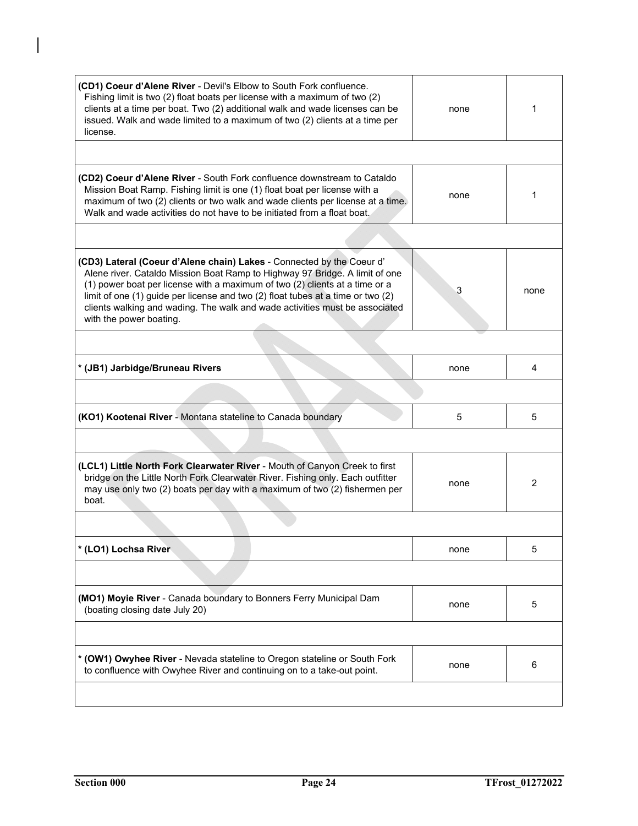| (CD1) Coeur d'Alene River - Devil's Elbow to South Fork confluence.<br>Fishing limit is two (2) float boats per license with a maximum of two (2)<br>clients at a time per boat. Two (2) additional walk and wade licenses can be<br>issued. Walk and wade limited to a maximum of two (2) clients at a time per<br>license.                                                                                                     | none | 1              |
|----------------------------------------------------------------------------------------------------------------------------------------------------------------------------------------------------------------------------------------------------------------------------------------------------------------------------------------------------------------------------------------------------------------------------------|------|----------------|
|                                                                                                                                                                                                                                                                                                                                                                                                                                  |      |                |
| (CD2) Coeur d'Alene River - South Fork confluence downstream to Cataldo<br>Mission Boat Ramp. Fishing limit is one (1) float boat per license with a<br>maximum of two (2) clients or two walk and wade clients per license at a time.<br>Walk and wade activities do not have to be initiated from a float boat.                                                                                                                | none | 1              |
|                                                                                                                                                                                                                                                                                                                                                                                                                                  |      |                |
| (CD3) Lateral (Coeur d'Alene chain) Lakes - Connected by the Coeur d'<br>Alene river. Cataldo Mission Boat Ramp to Highway 97 Bridge. A limit of one<br>(1) power boat per license with a maximum of two (2) clients at a time or a<br>limit of one (1) guide per license and two (2) float tubes at a time or two (2)<br>clients walking and wading. The walk and wade activities must be associated<br>with the power boating. | 3    | none           |
|                                                                                                                                                                                                                                                                                                                                                                                                                                  |      |                |
| * (JB1) Jarbidge/Bruneau Rivers                                                                                                                                                                                                                                                                                                                                                                                                  | none | 4              |
|                                                                                                                                                                                                                                                                                                                                                                                                                                  |      |                |
| (KO1) Kootenai River - Montana stateline to Canada boundary                                                                                                                                                                                                                                                                                                                                                                      | 5    | 5              |
|                                                                                                                                                                                                                                                                                                                                                                                                                                  |      |                |
| (LCL1) Little North Fork Clearwater River - Mouth of Canyon Creek to first<br>bridge on the Little North Fork Clearwater River. Fishing only. Each outfitter<br>may use only two (2) boats per day with a maximum of two (2) fishermen per<br>boat.                                                                                                                                                                              | none | $\overline{2}$ |
|                                                                                                                                                                                                                                                                                                                                                                                                                                  |      |                |
| * (LO1) Lochsa River                                                                                                                                                                                                                                                                                                                                                                                                             | none | 5              |
|                                                                                                                                                                                                                                                                                                                                                                                                                                  |      |                |
| (MO1) Moyie River - Canada boundary to Bonners Ferry Municipal Dam<br>(boating closing date July 20)                                                                                                                                                                                                                                                                                                                             | none | 5              |
|                                                                                                                                                                                                                                                                                                                                                                                                                                  |      |                |
| * (OW1) Owyhee River - Nevada stateline to Oregon stateline or South Fork<br>to confluence with Owyhee River and continuing on to a take-out point.                                                                                                                                                                                                                                                                              | none | 6              |
|                                                                                                                                                                                                                                                                                                                                                                                                                                  |      |                |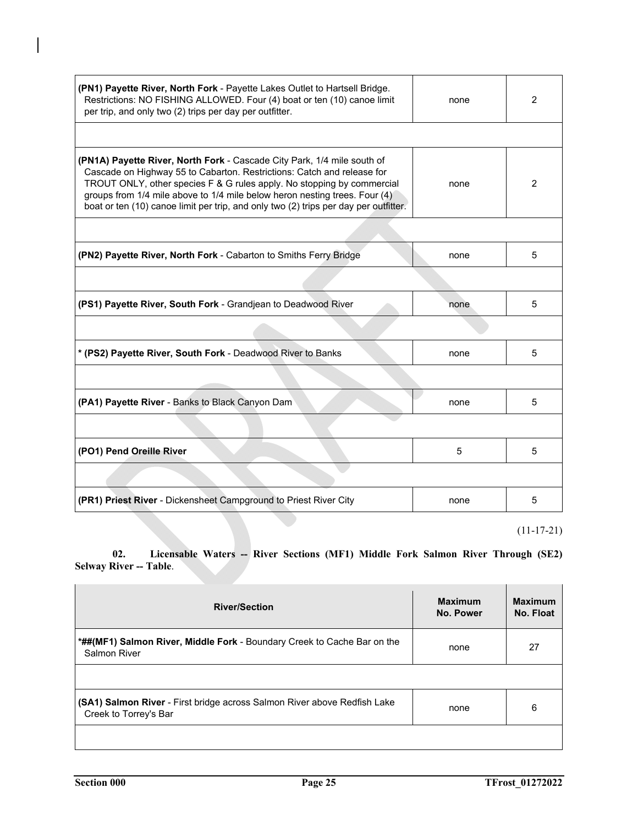| (PN1) Payette River, North Fork - Payette Lakes Outlet to Hartsell Bridge.<br>Restrictions: NO FISHING ALLOWED. Four (4) boat or ten (10) canoe limit<br>per trip, and only two (2) trips per day per outfitter.                                                                                                                                                                                  | none | $\overline{2}$ |
|---------------------------------------------------------------------------------------------------------------------------------------------------------------------------------------------------------------------------------------------------------------------------------------------------------------------------------------------------------------------------------------------------|------|----------------|
|                                                                                                                                                                                                                                                                                                                                                                                                   |      |                |
| (PN1A) Payette River, North Fork - Cascade City Park, 1/4 mile south of<br>Cascade on Highway 55 to Cabarton. Restrictions: Catch and release for<br>TROUT ONLY, other species F & G rules apply. No stopping by commercial<br>groups from 1/4 mile above to 1/4 mile below heron nesting trees. Four (4)<br>boat or ten (10) canoe limit per trip, and only two (2) trips per day per outfitter. | none | 2              |
|                                                                                                                                                                                                                                                                                                                                                                                                   |      |                |
| (PN2) Payette River, North Fork - Cabarton to Smiths Ferry Bridge                                                                                                                                                                                                                                                                                                                                 | none | 5              |
|                                                                                                                                                                                                                                                                                                                                                                                                   |      |                |
| (PS1) Payette River, South Fork - Grandjean to Deadwood River                                                                                                                                                                                                                                                                                                                                     | none | 5              |
|                                                                                                                                                                                                                                                                                                                                                                                                   |      |                |
| * (PS2) Payette River, South Fork - Deadwood River to Banks                                                                                                                                                                                                                                                                                                                                       | none | 5              |
|                                                                                                                                                                                                                                                                                                                                                                                                   |      |                |
| (PA1) Payette River - Banks to Black Canyon Dam                                                                                                                                                                                                                                                                                                                                                   | none | 5              |
|                                                                                                                                                                                                                                                                                                                                                                                                   |      |                |
| (PO1) Pend Oreille River                                                                                                                                                                                                                                                                                                                                                                          | 5    | 5              |
|                                                                                                                                                                                                                                                                                                                                                                                                   |      |                |
| (PR1) Priest River - Dickensheet Campground to Priest River City                                                                                                                                                                                                                                                                                                                                  | none | 5              |
|                                                                                                                                                                                                                                                                                                                                                                                                   |      | $(11-17-21)$   |

 **02. Licensable Waters -- River Sections (MF1) Middle Fork Salmon River Through (SE2) Selway River -- Table.** 

| <b>River/Section</b>                                                                              | <b>Maximum</b><br>No. Power | <b>Maximum</b><br>No. Float |
|---------------------------------------------------------------------------------------------------|-----------------------------|-----------------------------|
| *##(MF1) Salmon River, Middle Fork - Boundary Creek to Cache Bar on the<br><b>Salmon River</b>    | none                        | 27                          |
|                                                                                                   |                             |                             |
| (SA1) Salmon River - First bridge across Salmon River above Redfish Lake<br>Creek to Torrey's Bar | none                        | 6                           |
|                                                                                                   |                             |                             |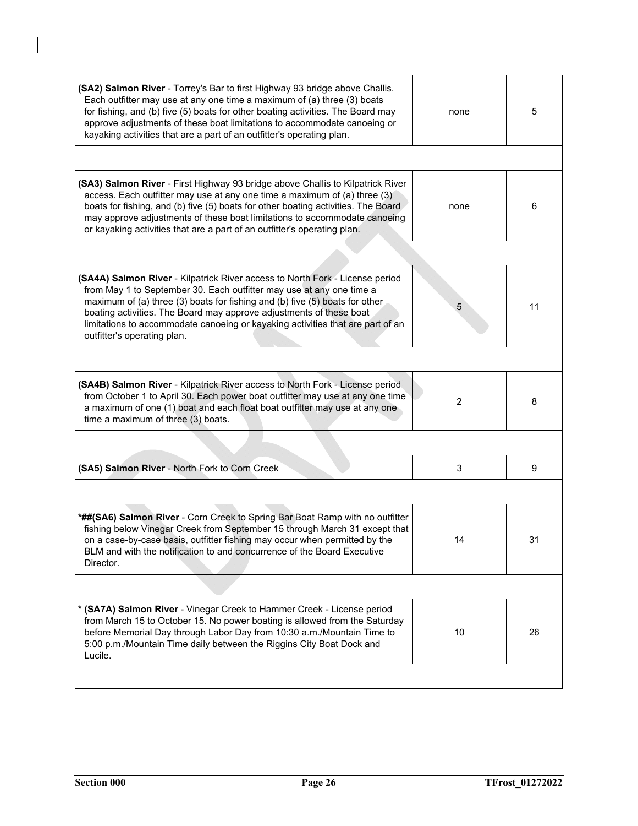| (SA2) Salmon River - Torrey's Bar to first Highway 93 bridge above Challis.<br>Each outfitter may use at any one time a maximum of (a) three (3) boats<br>for fishing, and (b) five (5) boats for other boating activities. The Board may<br>approve adjustments of these boat limitations to accommodate canoeing or<br>kayaking activities that are a part of an outfitter's operating plan.                              | none           | 5  |
|-----------------------------------------------------------------------------------------------------------------------------------------------------------------------------------------------------------------------------------------------------------------------------------------------------------------------------------------------------------------------------------------------------------------------------|----------------|----|
|                                                                                                                                                                                                                                                                                                                                                                                                                             |                |    |
| (SA3) Salmon River - First Highway 93 bridge above Challis to Kilpatrick River<br>access. Each outfitter may use at any one time a maximum of (a) three (3)<br>boats for fishing, and (b) five (5) boats for other boating activities. The Board<br>may approve adjustments of these boat limitations to accommodate canoeing<br>or kayaking activities that are a part of an outfitter's operating plan.                   | none           | 6  |
|                                                                                                                                                                                                                                                                                                                                                                                                                             |                |    |
| (SA4A) Salmon River - Kilpatrick River access to North Fork - License period<br>from May 1 to September 30. Each outfitter may use at any one time a<br>maximum of (a) three (3) boats for fishing and (b) five (5) boats for other<br>boating activities. The Board may approve adjustments of these boat<br>limitations to accommodate canoeing or kayaking activities that are part of an<br>outfitter's operating plan. |                | 11 |
|                                                                                                                                                                                                                                                                                                                                                                                                                             |                |    |
| (SA4B) Salmon River - Kilpatrick River access to North Fork - License period<br>from October 1 to April 30. Each power boat outfitter may use at any one time<br>a maximum of one (1) boat and each float boat outfitter may use at any one<br>time a maximum of three (3) boats.                                                                                                                                           | $\overline{2}$ | 8  |
|                                                                                                                                                                                                                                                                                                                                                                                                                             |                |    |
| (SA5) Salmon River - North Fork to Corn Creek                                                                                                                                                                                                                                                                                                                                                                               | 3              | 9  |
|                                                                                                                                                                                                                                                                                                                                                                                                                             |                |    |
| *##(SA6) Salmon River - Corn Creek to Spring Bar Boat Ramp with no outfitter<br>fishing below Vinegar Creek from September 15 through March 31 except that<br>on a case-by-case basis, outfitter fishing may occur when permitted by the<br>BLM and with the notification to and concurrence of the Board Executive<br>Director.                                                                                            | 14             | 31 |
|                                                                                                                                                                                                                                                                                                                                                                                                                             |                |    |
| * (SA7A) Salmon River - Vinegar Creek to Hammer Creek - License period<br>from March 15 to October 15. No power boating is allowed from the Saturday<br>before Memorial Day through Labor Day from 10:30 a.m./Mountain Time to<br>5:00 p.m./Mountain Time daily between the Riggins City Boat Dock and<br>Lucile.                                                                                                           | 10             | 26 |
|                                                                                                                                                                                                                                                                                                                                                                                                                             |                |    |

 $\overline{1}$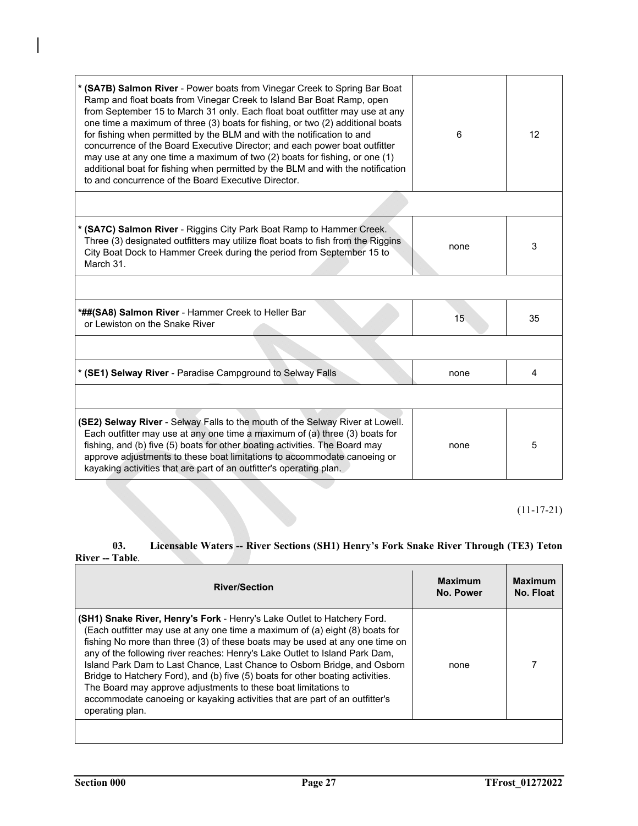| * (SA7B) Salmon River - Power boats from Vinegar Creek to Spring Bar Boat<br>Ramp and float boats from Vinegar Creek to Island Bar Boat Ramp, open<br>from September 15 to March 31 only. Each float boat outfitter may use at any<br>one time a maximum of three (3) boats for fishing, or two (2) additional boats<br>for fishing when permitted by the BLM and with the notification to and<br>concurrence of the Board Executive Director; and each power boat outfitter<br>may use at any one time a maximum of two (2) boats for fishing, or one (1)<br>additional boat for fishing when permitted by the BLM and with the notification<br>to and concurrence of the Board Executive Director. | 6    | 12 |
|------------------------------------------------------------------------------------------------------------------------------------------------------------------------------------------------------------------------------------------------------------------------------------------------------------------------------------------------------------------------------------------------------------------------------------------------------------------------------------------------------------------------------------------------------------------------------------------------------------------------------------------------------------------------------------------------------|------|----|
|                                                                                                                                                                                                                                                                                                                                                                                                                                                                                                                                                                                                                                                                                                      |      |    |
| * (SA7C) Salmon River - Riggins City Park Boat Ramp to Hammer Creek.<br>Three (3) designated outfitters may utilize float boats to fish from the Riggins<br>City Boat Dock to Hammer Creek during the period from September 15 to<br>March 31.                                                                                                                                                                                                                                                                                                                                                                                                                                                       | none | 3  |
|                                                                                                                                                                                                                                                                                                                                                                                                                                                                                                                                                                                                                                                                                                      |      |    |
| *##(SA8) Salmon River - Hammer Creek to Heller Bar<br>or Lewiston on the Snake River                                                                                                                                                                                                                                                                                                                                                                                                                                                                                                                                                                                                                 | 15   | 35 |
|                                                                                                                                                                                                                                                                                                                                                                                                                                                                                                                                                                                                                                                                                                      |      |    |
| * (SE1) Selway River - Paradise Campground to Selway Falls                                                                                                                                                                                                                                                                                                                                                                                                                                                                                                                                                                                                                                           | none | 4  |
|                                                                                                                                                                                                                                                                                                                                                                                                                                                                                                                                                                                                                                                                                                      |      |    |
| <b>(SE2) Selway River</b> - Selway Falls to the mouth of the Selway River at Lowell.<br>Each outfitter may use at any one time a maximum of (a) three (3) boats for<br>fishing, and (b) five (5) boats for other boating activities. The Board may<br>approve adjustments to these boat limitations to accommodate canoeing or<br>kayaking activities that are part of an outfitter's operating plan.                                                                                                                                                                                                                                                                                                | none | 5  |

(11-17-21)

# **03. Licensable Waters -- River Sections (SH1) Henry's Fork Snake River Through (TE3) Teton River -- Table**.

| <b>River/Section</b>                                                                                                                                                                                                                                                                                                                                                                                                                                                                                                                                                                                                                                            | <b>Maximum</b><br>No. Power | <b>Maximum</b><br>No. Float |
|-----------------------------------------------------------------------------------------------------------------------------------------------------------------------------------------------------------------------------------------------------------------------------------------------------------------------------------------------------------------------------------------------------------------------------------------------------------------------------------------------------------------------------------------------------------------------------------------------------------------------------------------------------------------|-----------------------------|-----------------------------|
| <b>(SH1) Snake River, Henry's Fork</b> - Henry's Lake Outlet to Hatchery Ford.<br>(Each outfitter may use at any one time a maximum of (a) eight (8) boats for<br>fishing No more than three (3) of these boats may be used at any one time on<br>any of the following river reaches: Henry's Lake Outlet to Island Park Dam,<br>Island Park Dam to Last Chance, Last Chance to Osborn Bridge, and Osborn<br>Bridge to Hatchery Ford), and (b) five (5) boats for other boating activities.<br>The Board may approve adjustments to these boat limitations to<br>accommodate canoeing or kayaking activities that are part of an outfitter's<br>operating plan. | none                        |                             |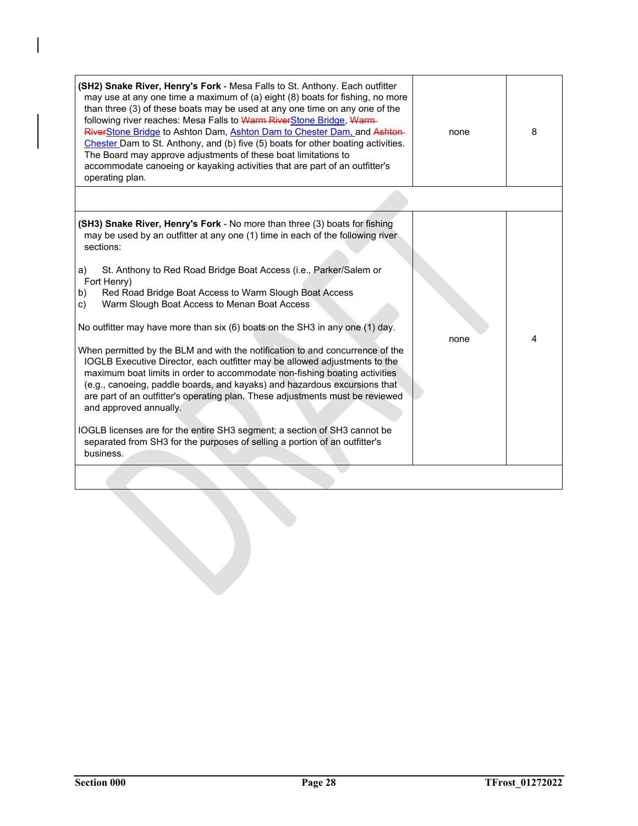| (SH2) Snake River, Henry's Fork - Mesa Falls to St. Anthony. Each outfitter<br>may use at any one time a maximum of (a) eight (8) boats for fishing, no more<br>than three (3) of these boats may be used at any one time on any one of the<br>following river reaches: Mesa Falls to Warm RiverStone Bridge, Warm-<br>RiverStone Bridge to Ashton Dam, Ashton Dam to Chester Dam, and Ashton-<br>Chester Dam to St. Anthony, and (b) five (5) boats for other boating activities.<br>The Board may approve adjustments of these boat limitations to<br>accommodate canoeing or kayaking activities that are part of an outfitter's<br>operating plan.                                                                                                                                                                                                                                                                                                                                                                                                                                  | none | 8 |
|-----------------------------------------------------------------------------------------------------------------------------------------------------------------------------------------------------------------------------------------------------------------------------------------------------------------------------------------------------------------------------------------------------------------------------------------------------------------------------------------------------------------------------------------------------------------------------------------------------------------------------------------------------------------------------------------------------------------------------------------------------------------------------------------------------------------------------------------------------------------------------------------------------------------------------------------------------------------------------------------------------------------------------------------------------------------------------------------|------|---|
|                                                                                                                                                                                                                                                                                                                                                                                                                                                                                                                                                                                                                                                                                                                                                                                                                                                                                                                                                                                                                                                                                         |      |   |
| (SH3) Snake River, Henry's Fork - No more than three (3) boats for fishing<br>may be used by an outfitter at any one (1) time in each of the following river<br>sections:<br>St. Anthony to Red Road Bridge Boat Access (i.e., Parker/Salem or<br>a)<br>Fort Henry)<br>Red Road Bridge Boat Access to Warm Slough Boat Access<br>b)<br>Warm Slough Boat Access to Menan Boat Access<br>c)<br>No outfitter may have more than $six(6)$ boats on the SH3 in any one (1) day.<br>When permitted by the BLM and with the notification to and concurrence of the<br>IOGLB Executive Director, each outfitter may be allowed adjustments to the<br>maximum boat limits in order to accommodate non-fishing boating activities<br>(e.g., canoeing, paddle boards, and kayaks) and hazardous excursions that<br>are part of an outfitter's operating plan. These adjustments must be reviewed<br>and approved annually.<br>IOGLB licenses are for the entire SH3 segment; a section of SH3 cannot be<br>separated from SH3 for the purposes of selling a portion of an outfitter's<br>business. | none | 4 |
|                                                                                                                                                                                                                                                                                                                                                                                                                                                                                                                                                                                                                                                                                                                                                                                                                                                                                                                                                                                                                                                                                         |      |   |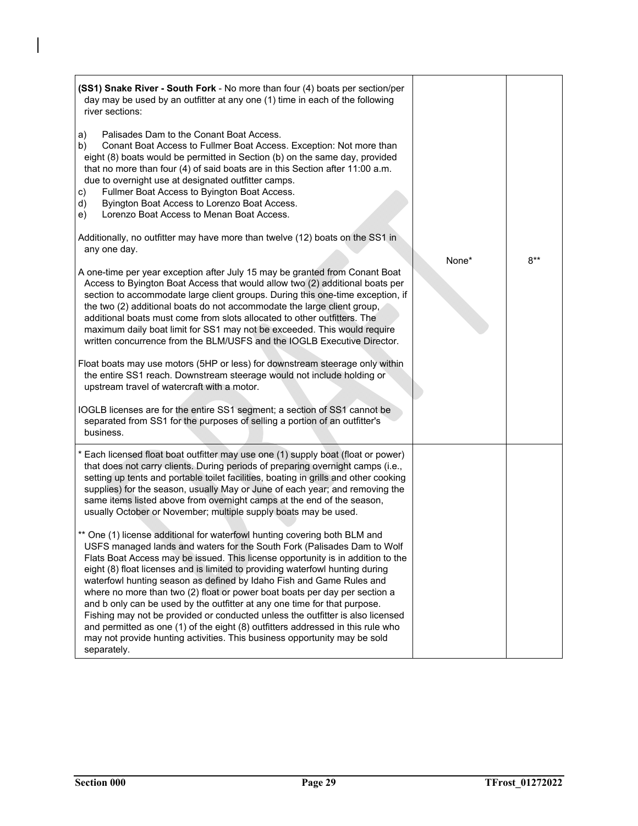| (SS1) Snake River - South Fork - No more than four (4) boats per section/per<br>day may be used by an outfitter at any one (1) time in each of the following<br>river sections:                                                                                                                                                                                                                                                                                                                                                                                                                                                                                                                                                                                                                                              |       |       |
|------------------------------------------------------------------------------------------------------------------------------------------------------------------------------------------------------------------------------------------------------------------------------------------------------------------------------------------------------------------------------------------------------------------------------------------------------------------------------------------------------------------------------------------------------------------------------------------------------------------------------------------------------------------------------------------------------------------------------------------------------------------------------------------------------------------------------|-------|-------|
| Palisades Dam to the Conant Boat Access.<br>a)<br>Conant Boat Access to Fullmer Boat Access. Exception: Not more than<br>b)<br>eight (8) boats would be permitted in Section (b) on the same day, provided<br>that no more than four (4) of said boats are in this Section after 11:00 a.m.<br>due to overnight use at designated outfitter camps.<br>Fullmer Boat Access to Byington Boat Access.<br>c)<br>Byington Boat Access to Lorenzo Boat Access.<br>d)<br>Lorenzo Boat Access to Menan Boat Access.<br>e)                                                                                                                                                                                                                                                                                                            |       |       |
| Additionally, no outfitter may have more than twelve (12) boats on the SS1 in<br>any one day.                                                                                                                                                                                                                                                                                                                                                                                                                                                                                                                                                                                                                                                                                                                                |       |       |
| A one-time per year exception after July 15 may be granted from Conant Boat<br>Access to Byington Boat Access that would allow two (2) additional boats per<br>section to accommodate large client groups. During this one-time exception, if<br>the two (2) additional boats do not accommodate the large client group,<br>additional boats must come from slots allocated to other outfitters. The<br>maximum daily boat limit for SS1 may not be exceeded. This would require<br>written concurrence from the BLM/USFS and the IOGLB Executive Director.                                                                                                                                                                                                                                                                  | None* | $8**$ |
| Float boats may use motors (5HP or less) for downstream steerage only within<br>the entire SS1 reach. Downstream steerage would not include holding or<br>upstream travel of watercraft with a motor.                                                                                                                                                                                                                                                                                                                                                                                                                                                                                                                                                                                                                        |       |       |
| IOGLB licenses are for the entire SS1 segment; a section of SS1 cannot be<br>separated from SS1 for the purposes of selling a portion of an outfitter's<br>business.                                                                                                                                                                                                                                                                                                                                                                                                                                                                                                                                                                                                                                                         |       |       |
| * Each licensed float boat outfitter may use one (1) supply boat (float or power)<br>that does not carry clients. During periods of preparing overnight camps (i.e.,<br>setting up tents and portable toilet facilities, boating in grills and other cooking<br>supplies) for the season, usually May or June of each year; and removing the<br>same items listed above from overnight camps at the end of the season,<br>usually October or November; multiple supply boats may be used.                                                                                                                                                                                                                                                                                                                                    |       |       |
| ** One (1) license additional for waterfowl hunting covering both BLM and<br>USFS managed lands and waters for the South Fork (Palisades Dam to Wolf<br>Flats Boat Access may be issued. This license opportunity is in addition to the<br>eight (8) float licenses and is limited to providing waterfowl hunting during<br>waterfowl hunting season as defined by Idaho Fish and Game Rules and<br>where no more than two (2) float or power boat boats per day per section a<br>and b only can be used by the outfitter at any one time for that purpose.<br>Fishing may not be provided or conducted unless the outfitter is also licensed<br>and permitted as one (1) of the eight (8) outfitters addressed in this rule who<br>may not provide hunting activities. This business opportunity may be sold<br>separately. |       |       |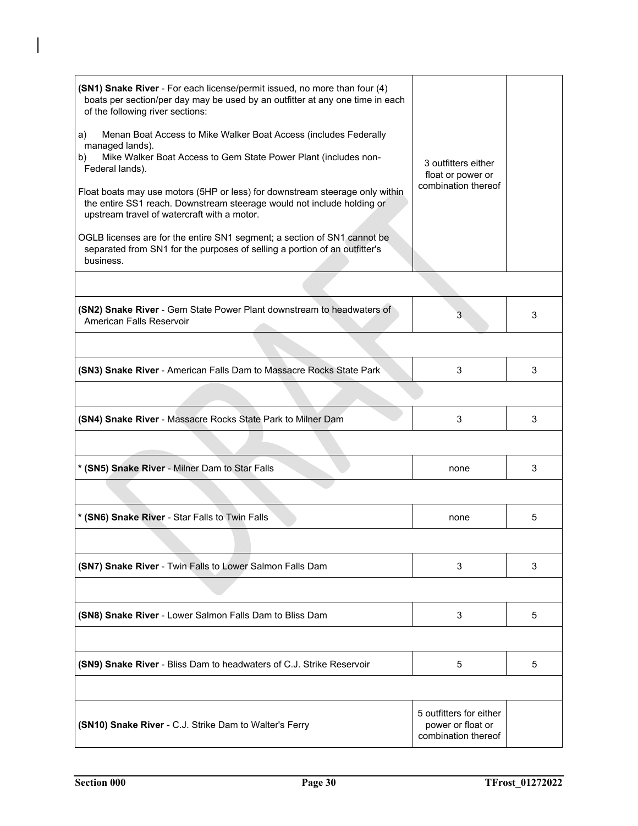| (SN1) Snake River - For each license/permit issued, no more than four (4)<br>boats per section/per day may be used by an outfitter at any one time in each<br>of the following river sections:<br>Menan Boat Access to Mike Walker Boat Access (includes Federally<br>a)<br>managed lands).<br>Mike Walker Boat Access to Gem State Power Plant (includes non-<br>b)<br>Federal lands).<br>Float boats may use motors (5HP or less) for downstream steerage only within<br>the entire SS1 reach. Downstream steerage would not include holding or<br>upstream travel of watercraft with a motor.<br>OGLB licenses are for the entire SN1 segment; a section of SN1 cannot be<br>separated from SN1 for the purposes of selling a portion of an outfitter's<br>business. | 3 outfitters either<br>float or power or<br>combination thereof     |   |
|-------------------------------------------------------------------------------------------------------------------------------------------------------------------------------------------------------------------------------------------------------------------------------------------------------------------------------------------------------------------------------------------------------------------------------------------------------------------------------------------------------------------------------------------------------------------------------------------------------------------------------------------------------------------------------------------------------------------------------------------------------------------------|---------------------------------------------------------------------|---|
|                                                                                                                                                                                                                                                                                                                                                                                                                                                                                                                                                                                                                                                                                                                                                                         |                                                                     |   |
| (SN2) Snake River - Gem State Power Plant downstream to headwaters of<br>American Falls Reservoir                                                                                                                                                                                                                                                                                                                                                                                                                                                                                                                                                                                                                                                                       | 3                                                                   | 3 |
|                                                                                                                                                                                                                                                                                                                                                                                                                                                                                                                                                                                                                                                                                                                                                                         |                                                                     |   |
| (SN3) Snake River - American Falls Dam to Massacre Rocks State Park                                                                                                                                                                                                                                                                                                                                                                                                                                                                                                                                                                                                                                                                                                     | 3                                                                   | 3 |
|                                                                                                                                                                                                                                                                                                                                                                                                                                                                                                                                                                                                                                                                                                                                                                         |                                                                     |   |
| (SN4) Snake River - Massacre Rocks State Park to Milner Dam                                                                                                                                                                                                                                                                                                                                                                                                                                                                                                                                                                                                                                                                                                             | 3                                                                   | 3 |
|                                                                                                                                                                                                                                                                                                                                                                                                                                                                                                                                                                                                                                                                                                                                                                         |                                                                     |   |
| * (SN5) Snake River - Milner Dam to Star Falls                                                                                                                                                                                                                                                                                                                                                                                                                                                                                                                                                                                                                                                                                                                          | none                                                                | 3 |
|                                                                                                                                                                                                                                                                                                                                                                                                                                                                                                                                                                                                                                                                                                                                                                         |                                                                     |   |
| * (SN6) Snake River - Star Falls to Twin Falls                                                                                                                                                                                                                                                                                                                                                                                                                                                                                                                                                                                                                                                                                                                          | none                                                                | 5 |
|                                                                                                                                                                                                                                                                                                                                                                                                                                                                                                                                                                                                                                                                                                                                                                         |                                                                     |   |
| (SN7) Snake River - Twin Falls to Lower Salmon Falls Dam                                                                                                                                                                                                                                                                                                                                                                                                                                                                                                                                                                                                                                                                                                                | 3                                                                   | 3 |
|                                                                                                                                                                                                                                                                                                                                                                                                                                                                                                                                                                                                                                                                                                                                                                         |                                                                     |   |
| (SN8) Snake River - Lower Salmon Falls Dam to Bliss Dam                                                                                                                                                                                                                                                                                                                                                                                                                                                                                                                                                                                                                                                                                                                 | 3                                                                   | 5 |
|                                                                                                                                                                                                                                                                                                                                                                                                                                                                                                                                                                                                                                                                                                                                                                         |                                                                     |   |
| (SN9) Snake River - Bliss Dam to headwaters of C.J. Strike Reservoir                                                                                                                                                                                                                                                                                                                                                                                                                                                                                                                                                                                                                                                                                                    | 5                                                                   | 5 |
|                                                                                                                                                                                                                                                                                                                                                                                                                                                                                                                                                                                                                                                                                                                                                                         |                                                                     |   |
| (SN10) Snake River - C.J. Strike Dam to Walter's Ferry                                                                                                                                                                                                                                                                                                                                                                                                                                                                                                                                                                                                                                                                                                                  | 5 outfitters for either<br>power or float or<br>combination thereof |   |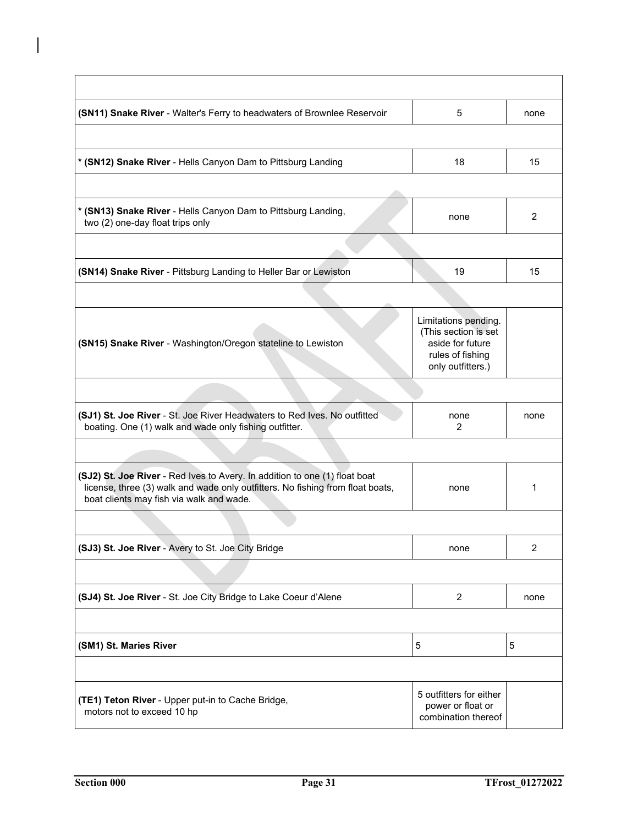| (SN11) Snake River - Walter's Ferry to headwaters of Brownlee Reservoir                                                                                                                                  | 5                                                                                                         | none           |
|----------------------------------------------------------------------------------------------------------------------------------------------------------------------------------------------------------|-----------------------------------------------------------------------------------------------------------|----------------|
| * (SN12) Snake River - Hells Canyon Dam to Pittsburg Landing                                                                                                                                             | 18                                                                                                        | 15             |
|                                                                                                                                                                                                          |                                                                                                           |                |
| * (SN13) Snake River - Hells Canyon Dam to Pittsburg Landing,<br>two (2) one-day float trips only                                                                                                        | none                                                                                                      | $\overline{2}$ |
|                                                                                                                                                                                                          |                                                                                                           |                |
| (SN14) Snake River - Pittsburg Landing to Heller Bar or Lewiston                                                                                                                                         | 19                                                                                                        | 15             |
|                                                                                                                                                                                                          |                                                                                                           |                |
| (SN15) Snake River - Washington/Oregon stateline to Lewiston                                                                                                                                             | Limitations pending.<br>(This section is set<br>aside for future<br>rules of fishing<br>only outfitters.) |                |
|                                                                                                                                                                                                          |                                                                                                           |                |
| (SJ1) St. Joe River - St. Joe River Headwaters to Red Ives. No outfitted<br>boating. One (1) walk and wade only fishing outfitter.                                                                       | none<br>2                                                                                                 | none           |
|                                                                                                                                                                                                          |                                                                                                           |                |
| (SJ2) St. Joe River - Red Ives to Avery. In addition to one (1) float boat<br>license, three (3) walk and wade only outfitters. No fishing from float boats,<br>boat clients may fish via walk and wade. | none                                                                                                      | 1              |
|                                                                                                                                                                                                          |                                                                                                           |                |
| (SJ3) St. Joe River - Avery to St. Joe City Bridge                                                                                                                                                       | none                                                                                                      | $\overline{c}$ |
|                                                                                                                                                                                                          |                                                                                                           |                |
| (SJ4) St. Joe River - St. Joe City Bridge to Lake Coeur d'Alene                                                                                                                                          | $\overline{2}$                                                                                            | none           |
|                                                                                                                                                                                                          |                                                                                                           |                |
| (SM1) St. Maries River                                                                                                                                                                                   | 5                                                                                                         | 5              |
| (TE1) Teton River - Upper put-in to Cache Bridge,<br>motors not to exceed 10 hp                                                                                                                          | 5 outfitters for either<br>power or float or<br>combination thereof                                       |                |

 $\overline{1}$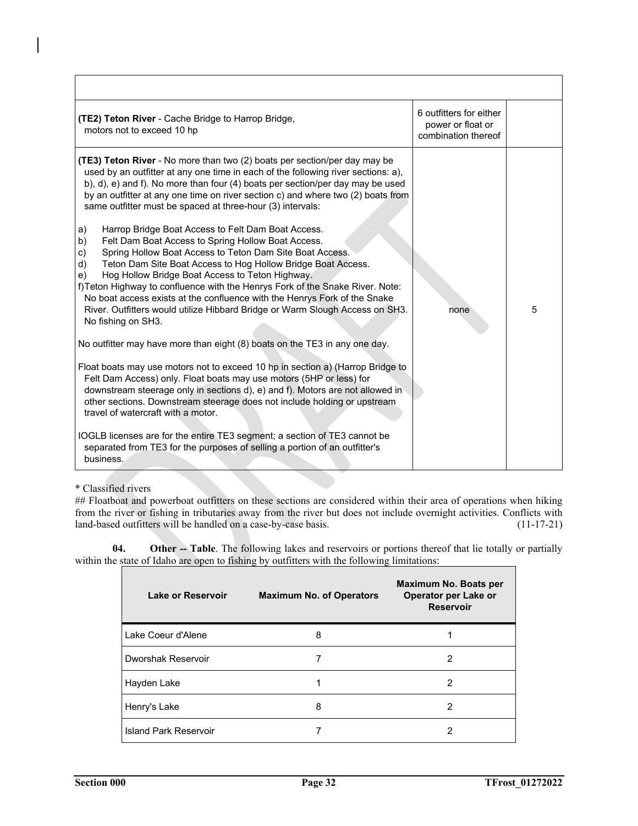| <b>(TE2) Teton River</b> - Cache Bridge to Harrop Bridge,<br>motors not to exceed 10 hp                                                                                                                                                                                                                                                                                                                                                                                                                                                                                                                                                                                                                                                                                                                                                                                                                                                                                                                                                                                                                                                                                                                                                                                                                                                                                                                                                                                                                                                                                                                           | 6 outfitters for either<br>power or float or<br>combination thereof |   |
|-------------------------------------------------------------------------------------------------------------------------------------------------------------------------------------------------------------------------------------------------------------------------------------------------------------------------------------------------------------------------------------------------------------------------------------------------------------------------------------------------------------------------------------------------------------------------------------------------------------------------------------------------------------------------------------------------------------------------------------------------------------------------------------------------------------------------------------------------------------------------------------------------------------------------------------------------------------------------------------------------------------------------------------------------------------------------------------------------------------------------------------------------------------------------------------------------------------------------------------------------------------------------------------------------------------------------------------------------------------------------------------------------------------------------------------------------------------------------------------------------------------------------------------------------------------------------------------------------------------------|---------------------------------------------------------------------|---|
| (TE3) Teton River - No more than two (2) boats per section/per day may be<br>used by an outfitter at any one time in each of the following river sections: a),<br>b), d), e) and f). No more than four (4) boats per section/per day may be used<br>by an outfitter at any one time on river section c) and where two (2) boats from<br>same outfitter must be spaced at three-hour (3) intervals:<br>a)<br>Harrop Bridge Boat Access to Felt Dam Boat Access.<br>Felt Dam Boat Access to Spring Hollow Boat Access.<br>b)<br>Spring Hollow Boat Access to Teton Dam Site Boat Access.<br>C)<br>Teton Dam Site Boat Access to Hog Hollow Bridge Boat Access.<br>d)<br>Hog Hollow Bridge Boat Access to Teton Highway.<br>e)<br>f) Teton Highway to confluence with the Henrys Fork of the Snake River. Note:<br>No boat access exists at the confluence with the Henrys Fork of the Snake<br>River. Outfitters would utilize Hibbard Bridge or Warm Slough Access on SH3.<br>No fishing on SH3.<br>No outfitter may have more than eight (8) boats on the TE3 in any one day.<br>Float boats may use motors not to exceed 10 hp in section a) (Harrop Bridge to<br>Felt Dam Access) only. Float boats may use motors (5HP or less) for<br>downstream steerage only in sections d), e) and f). Motors are not allowed in<br>other sections. Downstream steerage does not include holding or upstream<br>travel of watercraft with a motor.<br>IOGLB licenses are for the entire TE3 segment; a section of TE3 cannot be<br>separated from TE3 for the purposes of selling a portion of an outfitter's<br>business. | none                                                                | 5 |

\* Classified rivers

## Floatboat and powerboat outfitters on these sections are considered within their area of operations when hiking from the river or fishing in tributaries away from the river but does not include overnight activities. Conflicts with land-based outfitters will be handled on a case-by-case basis. (11-17-21)

**04. Other -- Table**. The following lakes and reservoirs or portions thereof that lie totally or partially within the state of Idaho are open to fishing by outfitters with the following limitations:

| Lake or Reservoir     | <b>Maximum No. of Operators</b> | Maximum No. Boats per<br>Operator per Lake or<br><b>Reservoir</b> |
|-----------------------|---------------------------------|-------------------------------------------------------------------|
| Lake Coeur d'Alene    | 8                               |                                                                   |
| Dworshak Reservoir    |                                 | 2                                                                 |
| Hayden Lake           |                                 | 2                                                                 |
| Henry's Lake          | 8                               | 2                                                                 |
| Island Park Reservoir |                                 | 2                                                                 |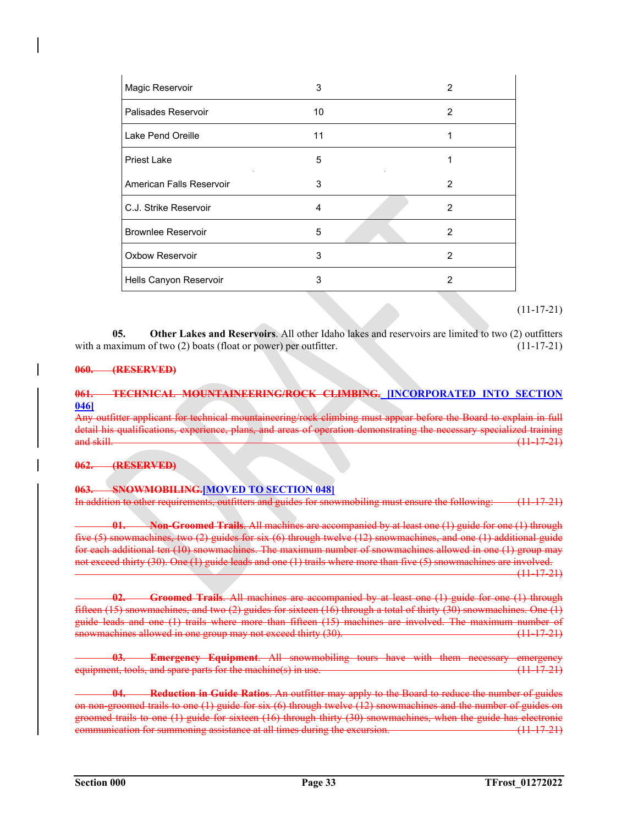| Magic Reservoir           | 3  | 2             |
|---------------------------|----|---------------|
| Palisades Reservoir       | 10 | $\mathcal{P}$ |
| Lake Pend Oreille         | 11 |               |
| <b>Priest Lake</b>        | 5  |               |
| American Falls Reservoir  | 3  | 2             |
| C.J. Strike Reservoir     | 4  | 2             |
| <b>Brownlee Reservoir</b> | 5  | 2             |
| <b>Oxbow Reservoir</b>    | 3  | $\mathcal{P}$ |
| Hells Canyon Reservoir    | 3  | 2             |

# $(11-17-21)$

**05. Other Lakes and Reservoirs**. All other Idaho lakes and reservoirs are limited to two (2) outfitters with a maximum of two (2) boats (float or power) per outfitter. (11-17-21)

### **060. (RESERVED)**

# **061. TECHNICAL MOUNTAINEERING/ROCK CLIMBING. [INCORPORATED INTO SECTION 046]**

Any outfitter applicant for technical mountaineering/rock climbing must appear before the Board to explain in full detail his qualifications, experience, plans, and areas of operation demonstrating the necessary specialized training and skill. (11-17-21)

#### **062. (RESERVED)**

# **063. SNOWMOBILING.[MOVED TO SECTION 048]**

In addition to other requirements, outfitters and guides for snowmobiling must ensure the following: (11-17-21)

**01. Non-Groomed Trails**. All machines are accompanied by at least one (1) guide for one (1) through five (5) snowmachines, two (2) guides for six (6) through twelve (12) snowmachines, and one (1) additional guide for each additional ten (10) snowmachines. The maximum number of snowmachines allowed in one (1) group may not exceed thirty (30). One (1) guide leads and one (1) trails where more than five (5) snowmachines are involved.

(11-17-21)

**02. Groomed Trails**. All machines are accompanied by at least one (1) guide for one (1) through fifteen (15) snowmachines, and two (2) guides for sixteen (16) through a total of thirty (30) snowmachines. One (1) guide leads and one (1) trails where more than fifteen (15) machines are involved. The maximum number of snowmachines allowed in one group may not exceed thirty (30). (11-17-21)

**03. Emergency Equipment**. All snowmobiling tours have with them necessary emergency equipment, tools, and spare parts for the machine(s) in use.  $(11-17-21)$ 

 **04. Reduction in Guide Ratios**. An outfitter may apply to the Board to reduce the number of guides on non-groomed trails to one (1) guide for six (6) through twelve (12) snowmachines and the number of guides on groomed trails to one (1) guide for sixteen (16) through thirty (30) snowmachines, when the guide has electronic communication for summoning assistance at all times during the excursion. (11-17-21)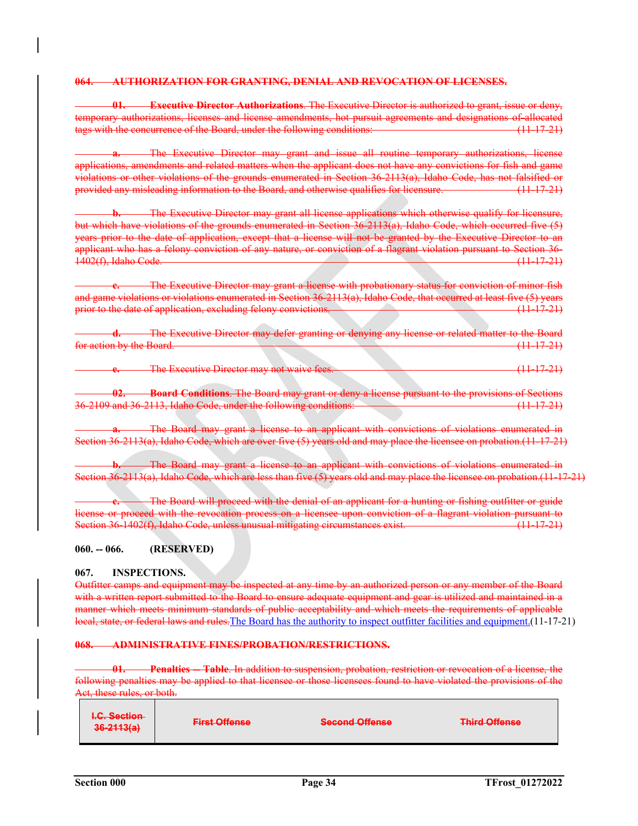#### **064. AUTHORIZATION FOR GRANTING, DENIAL AND REVOCATION OF LICENSES.**

**01. Executive Director Authorizations**. The Executive Director is authorized to grant, issue or deny, temporary authorizations, licenses and license amendments, hot pursuit agreements and designations of allocated tags with the concurrence of the Board, under the following conditions: (11-17-21)

**a.** The Executive Director may grant and issue all routine temporary authorizations, license applications, amendments and related matters when the applicant does not have any convictions for fish and game violations or other violations of the grounds enumerated in Section 36-2113(a), Idaho Code, has not falsified or provided any misleading information to the Board, and otherwise qualifies for licensure. (11-17-21)

**b.** The Executive Director may grant all license applications which otherwise qualify for licensure, but which have violations of the grounds enumerated in Section 36-2113(a), Idaho Code, which occurred five (5) years prior to the date of application, except that a license will not be granted by the Executive Director to an applicant who has a felony conviction of any nature, or conviction of a flagrant violation pursuant to Section 36- 1402(f), Idaho Code. (11-17-21)

**c.** The Executive Director may grant a license with probationary status for conviction of minor fish and game violations or violations enumerated in Section 36-2113(a), Idaho Code, that occurred at least five (5) years prior to the date of application, excluding felony convictions. (11-17-21)

**d.** The Executive Director may defer granting or denying any license or related matter to the Board for action by the Board. (11-17-21)

**e.** The Executive Director may not waive fees. (11-17-21)

**02. Board Conditions**. The Board may grant or deny a license pursuant to the provisions of Sections 36-2109 and 36-2113, Idaho Code, under the following conditions: (11-17-21)

**a.** The Board may grant a license to an applicant with convictions of violations enumerated in Section 36-2113(a), Idaho Code, which are over five (5) years old and may place the licensee on probation.(11-17-21)

The Board may grant a license to an applicant with convictions of violations enumerated in Section 36-2113(a), Idaho Code, which are less than five (5) years old and may place the licensee on probation.(11-17-21)

**c.** The Board will proceed with the denial of an applicant for a hunting or fishing outfitter or guide license or proceed with the revocation process on a licensee upon conviction of a flagrant violation pursuant to<br>Section 36-1402(f), Idaho Code, unless unusual mitigating circumstances exist. Section 36-1402(f), Idaho Code, unless unusual mitigating circumstances exist.

#### **060. -- 066. (RESERVED)**

#### **067. INSPECTIONS.**

Outfitter camps and equipment may be inspected at any time by an authorized person or any member of the Board with a written report submitted to the Board to ensure adequate equipment and gear is utilized and maintained in a manner which meets minimum standards of public acceptability and which meets the requirements of applicable local, state, or federal laws and rules.The Board has the authority to inspect outfitter facilities and equipment.(11-17-21)

#### **068. ADMINISTRATIVE FINES/PROBATION/RESTRICTIONS.**

**Penalties -- Table**. In addition to suspension, probation, restriction or revocation of a license, the following penalties may be applied to that licensee or those licensees found to have violated the provisions of the Act, these rules, or both.

| $IC$ Soction<br><del>ho. occupit</del><br>$36 - 2113(n)$<br>$\frac{1}{2}$ | <b>Eiret Offonen</b><br><del>mot Ununou</del> | Second Offonso<br><del>occond onchec</del> | <b>Third Offonen</b><br><del>mmu oncnoc</del> |
|---------------------------------------------------------------------------|-----------------------------------------------|--------------------------------------------|-----------------------------------------------|
|---------------------------------------------------------------------------|-----------------------------------------------|--------------------------------------------|-----------------------------------------------|